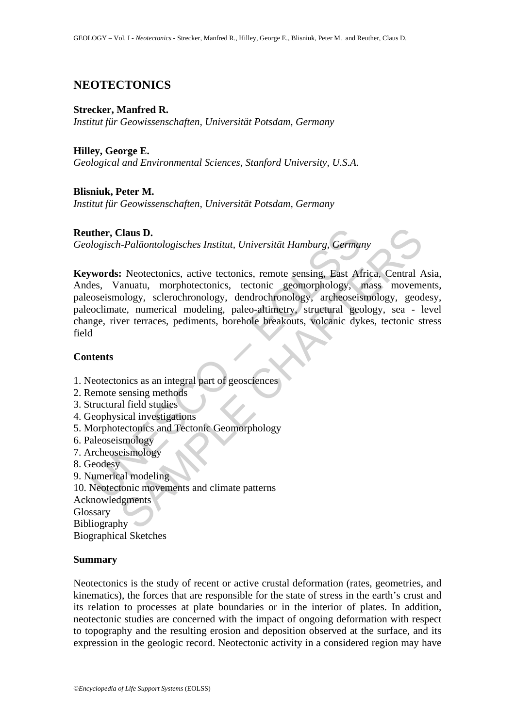# **NEOTECTONICS**

### **Strecker, Manfred R.**

*Institut für Geowissenschaften, Universität Potsdam, Germany* 

## **Hilley, George E.**

*Geological and Environmental Sciences, Stanford University, U.S.A.* 

## **Blisniuk, Peter M.**

*Institut für Geowissenschaften, Universität Potsdam, Germany* 

## **Reuther, Claus D.**

*Geologisch-Paläontologisches Institut, Universität Hamburg, Germany* 

**ther, Claus D.**<br> *Uogisch-Paläontologisches Institut, Universität Hamburg, German*<br> **words:** Neotectonics, active tectonics, remote sensing, East Af<br>
les, Vanuatu, morphotectonics, tectonic geomorphology, reforeosismology Chaus D.<br>
Chaus D.<br>
Frakläntologisches Institut, Universität Hamburg, Germany<br>
S. Neotectonics, active tectonics, remote sensing, East Africa, Central<br>
Annuatu, morphotectonics, tectonic geomorphology, mass movem<br>
ology, s **Keywords:** Neotectonics, active tectonics, remote sensing, East Africa, Central Asia, Andes, Vanuatu, morphotectonics, tectonic geomorphology, mass movements, paleoseismology, sclerochronology, dendrochronology, archeoseismology, geodesy, paleoclimate, numerical modeling, paleo-altimetry, structural geology, sea - level change, river terraces, pediments, borehole breakouts, volcanic dykes, tectonic stress field

## **Contents**

- 1. Neotectonics as an integral part of geosciences
- 2. Remote sensing methods
- 3. Structural field studies
- 4. Geophysical investigations
- 5. Morphotectonics and Tectonic Geomorphology
- 6. Paleoseismology
- 7. Archeoseismology
- 8. Geodesy
- 9. Numerical modeling
- 10. Neotectonic movements and climate patterns
- Acknowledgments

**Glossary** 

Bibliography

Biographical Sketches

## **Summary**

Neotectonics is the study of recent or active crustal deformation (rates, geometries, and kinematics), the forces that are responsible for the state of stress in the earth's crust and its relation to processes at plate boundaries or in the interior of plates. In addition, neotectonic studies are concerned with the impact of ongoing deformation with respect to topography and the resulting erosion and deposition observed at the surface, and its expression in the geologic record. Neotectonic activity in a considered region may have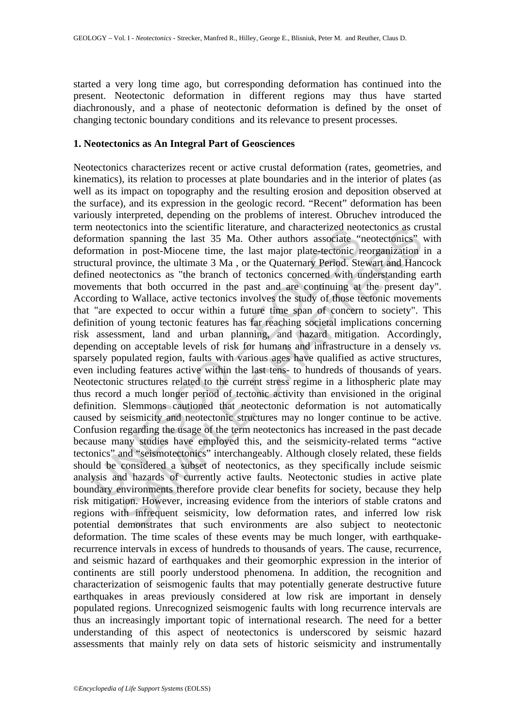started a very long time ago, but corresponding deformation has continued into the present. Neotectonic deformation in different regions may thus have started diachronously, and a phase of neotectonic deformation is defined by the onset of changing tectonic boundary conditions and its relevance to present processes.

### **1. Neotectonics as An Integral Part of Geosciences**

normation spanning the last 35 Ma. Other author and characterized neormation is paramity remation in post-Miocene time, the last major plate-tectonic in promation in post-Miocene time, the last major plate-tectonic in citr comes into the scientine tiretature, and characterized needcronics as criterial in post-Miocene time, the last major plate-lectonic reorganization in post-Miocene time, the last major plate-lectonic reorganization province Neotectonics characterizes recent or active crustal deformation (rates, geometries, and kinematics), its relation to processes at plate boundaries and in the interior of plates (as well as its impact on topography and the resulting erosion and deposition observed at the surface), and its expression in the geologic record. "Recent" deformation has been variously interpreted, depending on the problems of interest. Obruchev introduced the term neotectonics into the scientific literature, and characterized neotectonics as crustal deformation spanning the last 35 Ma. Other authors associate "neotectonics" with deformation in post-Miocene time, the last major plate-tectonic reorganization in a structural province, the ultimate 3 Ma , or the Quaternary Period. Stewart and Hancock defined neotectonics as "the branch of tectonics concerned with understanding earth movements that both occurred in the past and are continuing at the present day". According to Wallace, active tectonics involves the study of those tectonic movements that "are expected to occur within a future time span of concern to society". This definition of young tectonic features has far reaching societal implications concerning risk assessment, land and urban planning, and hazard mitigation. Accordingly, depending on acceptable levels of risk for humans and infrastructure in a densely *vs.* sparsely populated region, faults with various ages have qualified as active structures, even including features active within the last tens- to hundreds of thousands of years. Neotectonic structures related to the current stress regime in a lithospheric plate may thus record a much longer period of tectonic activity than envisioned in the original definition. Slemmons cautioned that neotectonic deformation is not automatically caused by seismicity and neotectonic structures may no longer continue to be active. Confusion regarding the usage of the term neotectonics has increased in the past decade because many studies have employed this, and the seismicity-related terms "active tectonics" and "seismotectonics" interchangeably. Although closely related, these fields should be considered a subset of neotectonics, as they specifically include seismic analysis and hazards of currently active faults. Neotectonic studies in active plate boundary environments therefore provide clear benefits for society, because they help risk mitigation. However, increasing evidence from the interiors of stable cratons and regions with infrequent seismicity, low deformation rates, and inferred low risk potential demonstrates that such environments are also subject to neotectonic deformation. The time scales of these events may be much longer, with earthquakerecurrence intervals in excess of hundreds to thousands of years. The cause, recurrence, and seismic hazard of earthquakes and their geomorphic expression in the interior of continents are still poorly understood phenomena. In addition, the recognition and characterization of seismogenic faults that may potentially generate destructive future earthquakes in areas previously considered at low risk are important in densely populated regions. Unrecognized seismogenic faults with long recurrence intervals are thus an increasingly important topic of international research. The need for a better understanding of this aspect of neotectonics is underscored by seismic hazard assessments that mainly rely on data sets of historic seismicity and instrumentally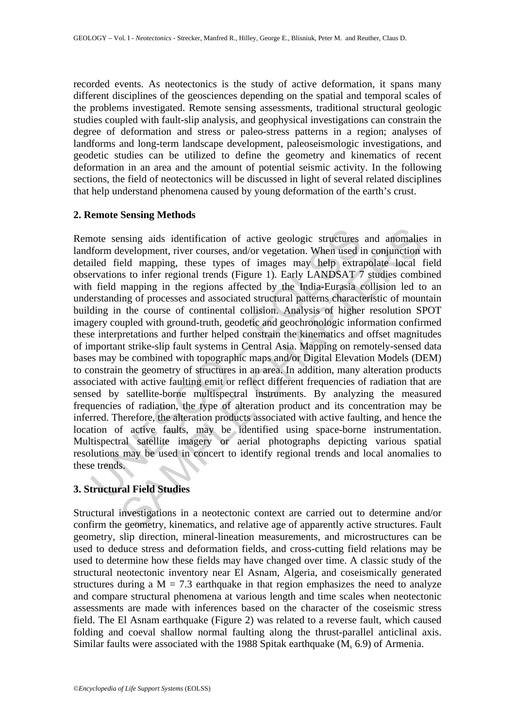recorded events. As neotectonics is the study of active deformation, it spans many different disciplines of the geosciences depending on the spatial and temporal scales of the problems investigated. Remote sensing assessments, traditional structural geologic studies coupled with fault-slip analysis, and geophysical investigations can constrain the degree of deformation and stress or paleo-stress patterns in a region; analyses of landforms and long-term landscape development, paleoseismologic investigations, and geodetic studies can be utilized to define the geometry and kinematics of recent deformation in an area and the amount of potential seismic activity. In the following sections, the field of neotectonics will be discussed in light of several related disciplines that help understand phenomena caused by young deformation of the earth's crust.

### **2. Remote Sensing Methods**

note sensing aids identification of active geologic structures<br>from development, river courses, and/or vegetation. When used i<br>iled field mapping, these types of images may help extra<br>revations to infer regional trends (Fi maing aids identification of active geologic structures and anomalie<br>evelopment, river courses, and/or vegetation. When used in conjunction<br>eld mapping, these types of images may help extrapolate local 1<br>s to infer regiona Remote sensing aids identification of active geologic structures and anomalies in landform development, river courses, and/or vegetation. When used in conjunction with detailed field mapping, these types of images may help extrapolate local field observations to infer regional trends (Figure 1). Early LANDSAT 7 studies combined with field mapping in the regions affected by the India-Eurasia collision led to an understanding of processes and associated structural patterns characteristic of mountain building in the course of continental collision. Analysis of higher resolution SPOT imagery coupled with ground-truth, geodetic and geochronologic information confirmed these interpretations and further helped constrain the kinematics and offset magnitudes of important strike-slip fault systems in Central Asia. Mapping on remotely-sensed data bases may be combined with topographic maps and/or Digital Elevation Models (DEM) to constrain the geometry of structures in an area. In addition, many alteration products associated with active faulting emit or reflect different frequencies of radiation that are sensed by satellite-borne multispectral instruments. By analyzing the measured frequencies of radiation, the type of alteration product and its concentration may be inferred. Therefore, the alteration products associated with active faulting, and hence the location of active faults, may be identified using space-borne instrumentation. Multispectral satellite imagery or aerial photographs depicting various spatial resolutions may be used in concert to identify regional trends and local anomalies to these trends.

## **3. Structural Field Studies**

Structural investigations in a neotectonic context are carried out to determine and/or confirm the geometry, kinematics, and relative age of apparently active structures. Fault geometry, slip direction, mineral-lineation measurements, and microstructures can be used to deduce stress and deformation fields, and cross-cutting field relations may be used to determine how these fields may have changed over time. A classic study of the structural neotectonic inventory near El Asnam, Algeria, and coseismically generated structures during a  $M = 7.3$  earthquake in that region emphasizes the need to analyze and compare structural phenomena at various length and time scales when neotectonic assessments are made with inferences based on the character of the coseismic stress field. The El Asnam earthquake (Figure 2) was related to a reverse fault, which caused folding and coeval shallow normal faulting along the thrust-parallel anticlinal axis. Similar faults were associated with the 1988 Spitak earthquake  $(M_s 6.9)$  of Armenia.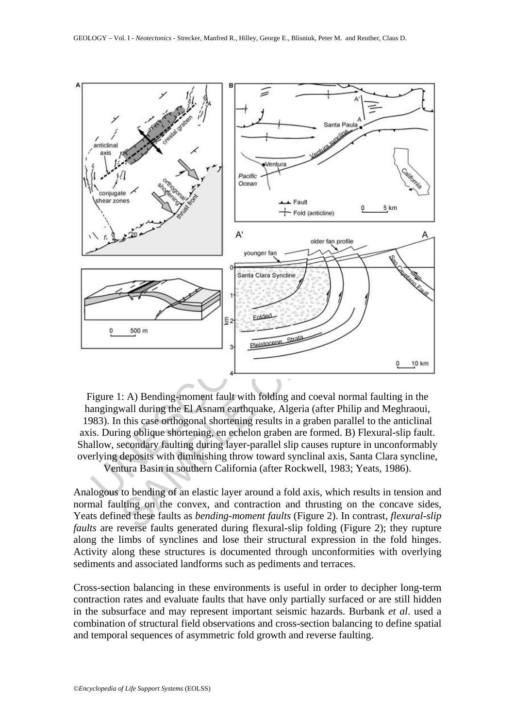

Figure 1: A) Bending-moment fault with folding and coeval normal faulting in the hangingwall during the El Asnam earthquake, Algeria (after Philip and Meghraoui, 1983). In this case orthogonal shortening results in a graben parallel to the anticlinal axis. During oblique shortening, en echelon graben are formed. B) Flexural-slip fault. Shallow, secondary faulting during layer-parallel slip causes rupture in unconformably overlying deposits with diminishing throw toward synclinal axis, Santa Clara syncline,

Ventura Basin in southern California (after Rockwell, 1983; Yeats, 1986).

Analogous to bending of an elastic layer around a fold axis, which results in tension and normal faulting on the convex, and contraction and thrusting on the concave sides, Yeats defined these faults as *bending-moment faults* (Figure 2). In contrast, *flexural-slip faults* are reverse faults generated during flexural-slip folding (Figure 2); they rupture along the limbs of synclines and lose their structural expression in the fold hinges. Activity along these structures is documented through unconformities with overlying sediments and associated landforms such as pediments and terraces.

Cross-section balancing in these environments is useful in order to decipher long-term contraction rates and evaluate faults that have only partially surfaced or are still hidden in the subsurface and may represent important seismic hazards. Burbank *et al*. used a combination of structural field observations and cross-section balancing to define spatial and temporal sequences of asymmetric fold growth and reverse faulting.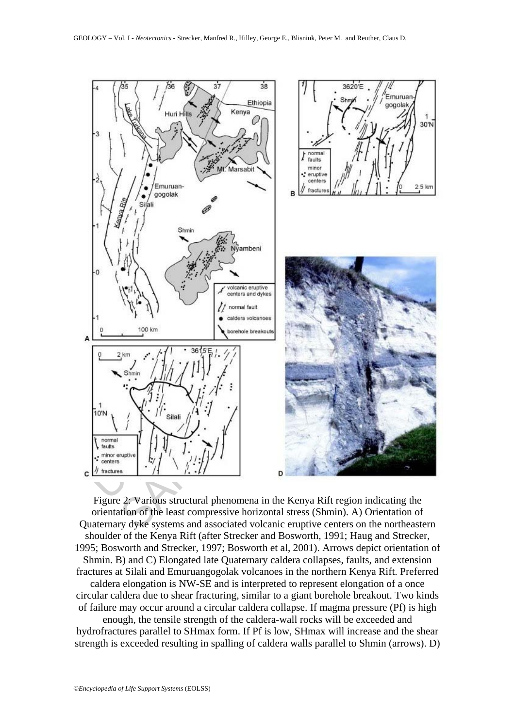

Figure 2: Various structural phenomena in the Kenya Rift region indicating the orientation of the least compressive horizontal stress (Shmin). A) Orientation of Quaternary dyke systems and associated volcanic eruptive centers on the northeastern shoulder of the Kenya Rift (after Strecker and Bosworth, 1991; Haug and Strecker, 1995; Bosworth and Strecker, 1997; Bosworth et al, 2001). Arrows depict orientation of Shmin. B) and C) Elongated late Quaternary caldera collapses, faults, and extension fractures at Silali and Emuruangogolak volcanoes in the northern Kenya Rift. Preferred caldera elongation is NW-SE and is interpreted to represent elongation of a once circular caldera due to shear fracturing, similar to a giant borehole breakout. Two kinds of failure may occur around a circular caldera collapse. If magma pressure (Pf) is high

enough, the tensile strength of the caldera-wall rocks will be exceeded and hydrofractures parallel to SHmax form. If Pf is low, SHmax will increase and the shear strength is exceeded resulting in spalling of caldera walls parallel to Shmin (arrows). D)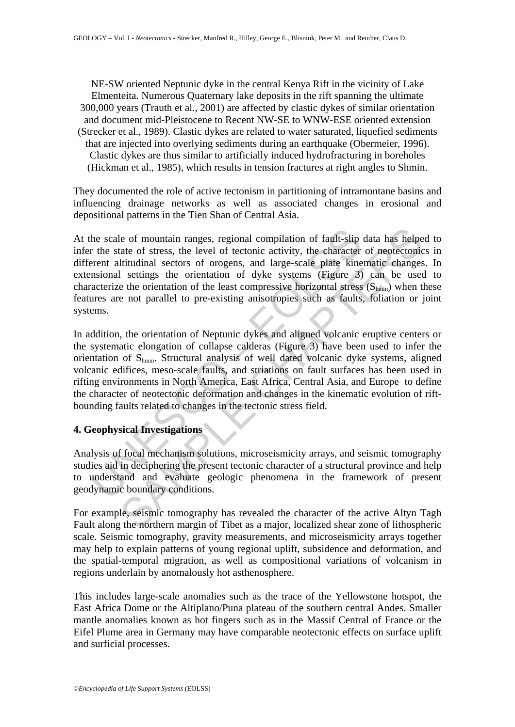NE-SW oriented Neptunic dyke in the central Kenya Rift in the vicinity of Lake Elmenteita. Numerous Quaternary lake deposits in the rift spanning the ultimate 300,000 years (Trauth et al., 2001) are affected by clastic dykes of similar orientation and document mid-Pleistocene to Recent NW-SE to WNW-ESE oriented extension (Strecker et al., 1989). Clastic dykes are related to water saturated, liquefied sediments that are injected into overlying sediments during an earthquake (Obermeier, 1996). Clastic dykes are thus similar to artificially induced hydrofracturing in boreholes (Hickman et al., 1985), which results in tension fractures at right angles to Shmin.

They documented the role of active tectonism in partitioning of intramontane basins and influencing drainage networks as well as associated changes in erosional and depositional patterns in the Tien Shan of Central Asia.

he scale of mountain ranges, regional compilation of fault-slip<br>r the state of stress, the level of tectonic activity, the character<br>rent altitudinal sectors of orogens, and large-scale plate kine<br>msional settings the orie le of mountain ranges, regional compilation of fault-slip data has helpe<br>tate of stress, the level of tectonic activity, the character of neotectonic<br>litudinal sectors of orogens, and large-scale plate kinematic changes<br>li At the scale of mountain ranges, regional compilation of fault-slip data has helped to infer the state of stress, the level of tectonic activity, the character of neotectonics in different altitudinal sectors of orogens, and large-scale plate kinematic changes. In extensional settings the orientation of dyke systems (Figure 3) can be used to characterize the orientation of the least compressive horizontal stress  $(S_{hmin})$  when these features are not parallel to pre-existing anisotropies such as faults, foliation or joint systems.

In addition, the orientation of Neptunic dykes and aligned volcanic eruptive centers or the systematic elongation of collapse calderas (Figure 3) have been used to infer the orientation of Shmin. Structural analysis of well dated volcanic dyke systems, aligned volcanic edifices, meso-scale faults, and striations on fault surfaces has been used in rifting environments in North America, East Africa, Central Asia, and Europe to define the character of neotectonic deformation and changes in the kinematic evolution of riftbounding faults related to changes in the tectonic stress field.

## **4. Geophysical Investigations**

Analysis of focal mechanism solutions, microseismicity arrays, and seismic tomography studies aid in deciphering the present tectonic character of a structural province and help to understand and evaluate geologic phenomena in the framework of present geodynamic boundary conditions.

For example, seismic tomography has revealed the character of the active Altyn Tagh Fault along the northern margin of Tibet as a major, localized shear zone of lithospheric scale. Seismic tomography, gravity measurements, and microseismicity arrays together may help to explain patterns of young regional uplift, subsidence and deformation, and the spatial-temporal migration, as well as compositional variations of volcanism in regions underlain by anomalously hot asthenosphere.

This includes large-scale anomalies such as the trace of the Yellowstone hotspot, the East Africa Dome or the Altiplano/Puna plateau of the southern central Andes. Smaller mantle anomalies known as hot fingers such as in the Massif Central of France or the Eifel Plume area in Germany may have comparable neotectonic effects on surface uplift and surficial processes.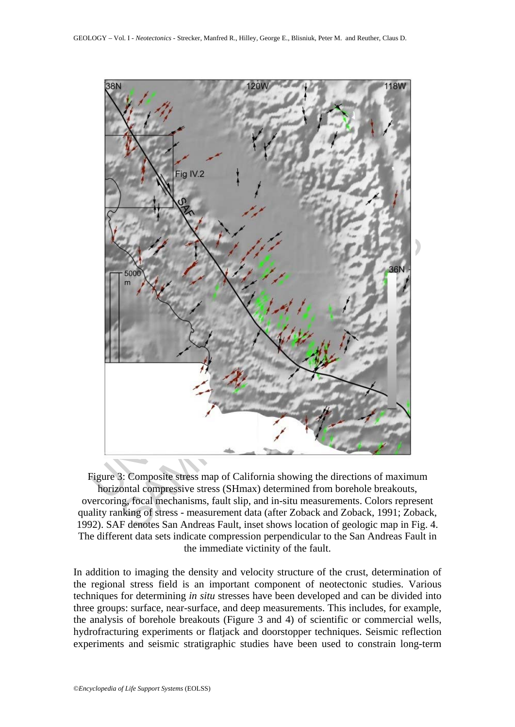

Figure 3: Composite stress map of California showing the directions of maximum horizontal compressive stress (SHmax) determined from borehole breakouts, overcoring, focal mechanisms, fault slip, and in-situ measurements. Colors represent quality ranking of stress - measurement data (after Zoback and Zoback, 1991; Zoback, 1992). SAF denotes San Andreas Fault, inset shows location of geologic map in Fig. 4. The different data sets indicate compression perpendicular to the San Andreas Fault in the immediate victinity of the fault.

In addition to imaging the density and velocity structure of the crust, determination of the regional stress field is an important component of neotectonic studies. Various techniques for determining *in situ* stresses have been developed and can be divided into three groups: surface, near-surface, and deep measurements. This includes, for example, the analysis of borehole breakouts (Figure 3 and 4) of scientific or commercial wells, hydrofracturing experiments or flatjack and doorstopper techniques. Seismic reflection experiments and seismic stratigraphic studies have been used to constrain long-term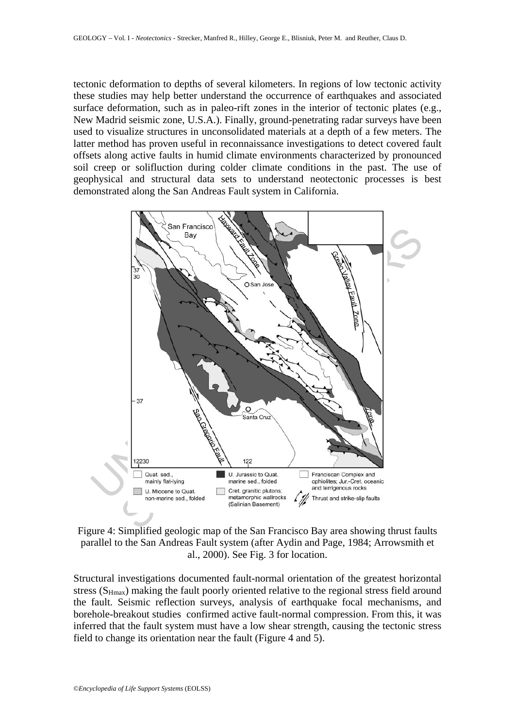tectonic deformation to depths of several kilometers. In regions of low tectonic activity these studies may help better understand the occurrence of earthquakes and associated surface deformation, such as in paleo-rift zones in the interior of tectonic plates (e.g., New Madrid seismic zone, U.S.A.). Finally, ground-penetrating radar surveys have been used to visualize structures in unconsolidated materials at a depth of a few meters. The latter method has proven useful in reconnaissance investigations to detect covered fault offsets along active faults in humid climate environments characterized by pronounced soil creep or solifluction during colder climate conditions in the past. The use of geophysical and structural data sets to understand neotectonic processes is best demonstrated along the San Andreas Fault system in California.



Figure 4: Simplified geologic map of the San Francisco Bay area showing thrust faults parallel to the San Andreas Fault system (after Aydin and Page, 1984; Arrowsmith et al., 2000). See Fig. 3 for location.

Structural investigations documented fault-normal orientation of the greatest horizontal stress  $(S_{Hmax})$  making the fault poorly oriented relative to the regional stress field around the fault. Seismic reflection surveys, analysis of earthquake focal mechanisms, and borehole-breakout studies confirmed active fault-normal compression. From this, it was inferred that the fault system must have a low shear strength, causing the tectonic stress field to change its orientation near the fault (Figure 4 and 5).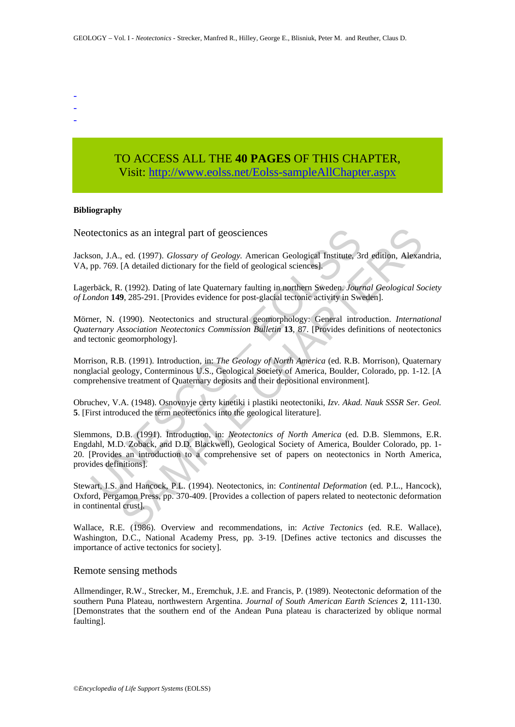- -
- -
- -

# TO ACCESS ALL THE **40 PAGES** OF THIS CHAPTER, Visit: [http://www.eolss.net/Eolss-sampleAllChapter.aspx](https://www.eolss.net/ebooklib/sc_cart.aspx?File=E6-15-02-06)

#### **Bibliography**

Neotectonics as an integral part of geosciences

Jackson, J.A., ed. (1997). *Glossary of Geology.* American Geological Institute, 3rd edition, Alexandria, VA, pp. 769. [A detailed dictionary for the field of geological sciences].

Lagerbäck, R. (1992). Dating of late Quaternary faulting in northern Sweden. *Journal Geological Society of London* **149**, 285-291. [Provides evidence for post-glacial tectonic activity in Sweden].

Mörner, N. (1990). Neotectonics and structural geomorphology: General introduction. *International Quaternary Association Neotectonics Commission Bulletin* **13**, 87. [Provides definitions of neotectonics and tectonic geomorphology].

Morrison, R.B. (1991). Introduction, in: *The Geology of North America* (ed. R.B. Morrison), Quaternary nonglacial geology, Conterminous U.S., Geological Society of America, Boulder, Colorado, pp. 1-12. [A comprehensive treatment of Quaternary deposits and their depositional environment].

Obruchev, V.A. (1948). Osnovnyje certy kinetiki i plastiki neotectoniki, *Izv. Akad. Nauk SSSR Ser. Geol.* **5**. [First introduced the term neotectonics into the geological literature].

tectonics as an integral part of geosciences<br>son, J.A., ed. (1997). *Glossary of Geology*. American Geological Institute, 3r<br>pp. 769. [A detailed dictionary for the field of geological sciences].<br>pp. 769. [A detailed dicti cs as an integral part of geosciences<br>
cs as an integral part of geology. American Geological Institute, 3rd edition, Alexar<br>
[A detailed dictionary for the field of geological sciences].<br>
(1992). Dating of late Quaternary Slemmons, D.B. (1991). Introduction, in: *Neotectonics of North America* (ed. D.B. Slemmons, E.R. Engdahl, M.D. Zoback, and D.D. Blackwell), Geological Society of America, Boulder Colorado, pp. 1- 20. [Provides an introduction to a comprehensive set of papers on neotectonics in North America, provides definitions].

Stewart, I.S. and Hancock, P.L. (1994). Neotectonics, in: *Continental Deformation* (ed. P.L., Hancock), Oxford, Pergamon Press, pp. 370-409. [Provides a collection of papers related to neotectonic deformation in continental crust].

Wallace, R.E. (1986). Overview and recommendations, in: *Active Tectonics* (ed. R.E. Wallace), Washington, D.C., National Academy Press, pp. 3-19. [Defines active tectonics and discusses the importance of active tectonics for society].

#### Remote sensing methods

Allmendinger, R.W., Strecker, M., Eremchuk, J.E. and Francis, P. (1989). Neotectonic deformation of the southern Puna Plateau, northwestern Argentina. *Journal of South American Earth Sciences* **2**, 111-130. [Demonstrates that the southern end of the Andean Puna plateau is characterized by oblique normal faulting].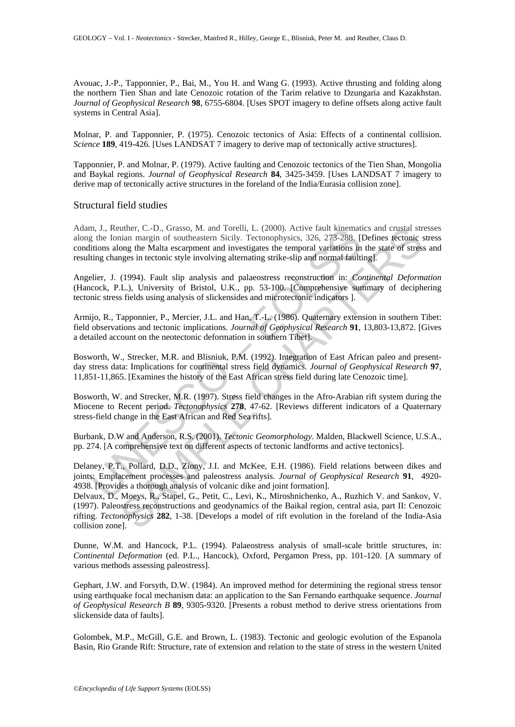Avouac, J.-P., Tapponnier, P., Bai, M., You H. and Wang G. (1993). Active thrusting and folding along the northern Tien Shan and late Cenozoic rotation of the Tarim relative to Dzungaria and Kazakhstan. *Journal of Geophysical Research* **98**, 6755-6804. [Uses SPOT imagery to define offsets along active fault systems in Central Asia].

Molnar, P. and Tapponnier, P. (1975). Cenozoic tectonics of Asia: Effects of a continental collision. *Science* **189**, 419-426. [Uses LANDSAT 7 imagery to derive map of tectonically active structures].

Tapponnier, P. and Molnar, P. (1979). Active faulting and Cenozoic tectonics of the Tien Shan, Mongolia and Baykal regions. *Journal of Geophysical Research* **84**, 3425-3459. [Uses LANDSAT 7 imagery to derive map of tectonically active structures in the foreland of the India/Eurasia collision zone].

#### Structural field studies

n, J., Ketuber, C.-D., Grasso, M. and Torelli, L. (2000). Active taut kinematinania, I., Reuher, L., L., C., Grasso, M. and Torelli, L. (2000). Active tautit kinemating chines all the Minic changes in tectoric style involv Adam, J., Reuther, C.-D., Grasso, M. and Torelli, L. (2000). Active fault kinematics and crustal stresses along the Ionian margin of southeastern Sicily. Tectonophysics, 326, 273-288. [Defines tectonic stress conditions along the Malta escarpment and investigates the temporal variations in the state of stress and resulting changes in tectonic style involving alternating strike-slip and normal faulting].

Angelier, J. (1994). Fault slip analysis and palaeostress reconstruction in: *Continental Deformation* (Hancock, P.L.), University of Bristol, U.K., pp. 53-100. [Comprehensive summary of deciphering tectonic stress fields using analysis of slickensides and microtectonic indicators ].

Armijo, R., Tapponnier, P., Mercier, J.L. and Han, T.-L. (1986). Quaternary extension in southern Tibet: field observations and tectonic implications. *Journal of Geophysical Research* **91**, 13,803-13,872. [Gives a detailed account on the neotectonic deformation in southern Tibet].

Bosworth, W., Strecker, M.R. and Blisniuk, P.M. (1992). Integration of East African paleo and presentday stress data: Implications for continental stress field dynamics. *Journal of Geophysical Research* **97**, 11,851-11,865. [Examines the history of the East African stress field during late Cenozoic time].

Bosworth, W. and Strecker, M.R. (1997). Stress field changes in the Afro-Arabian rift system during the Miocene to Recent period. *Tectonophysics* **278**, 47-62. [Reviews different indicators of a Quaternary stress-field change in the East African and Red Sea rifts].

Burbank, D.W and Anderson, R.S. (2001). *Tectonic Geomorphology*. Malden, Blackwell Science, U.S.A., pp. 274. [A comprehensive text on different aspects of tectonic landforms and active tectonics].

Delaney, P.T., Pollard, D.D., Ziony, J.I. and McKee, E.H. (1986). Field relations between dikes and joints: Emplacement processes and paleostress analysis. *Journal of Geophysical Research* **91**, 4920- 4938. [Provides a thorough analysis of volcanic dike and joint formation].

uther, C.-D., Grasso, M. and Torelli, L. (2000). Active fault kinematics and crustal structure<br>mian margin of southeastern Sicily, Tectonophysics, 326, 275-288, Defines fectonic song the Malta escarpment and investigates t Delvaux, D., Moeys, R., Stapel, G., Petit, C., Levi, K., Miroshnichenko, A., Ruzhich V. and Sankov, V. (1997). Paleostress reconstructions and geodynamics of the Baikal region, central asia, part II: Cenozoic rifting. *Tectonophysics* **282**, 1-38. [Develops a model of rift evolution in the foreland of the India-Asia collision zone].

Dunne, W.M. and Hancock, P.L. (1994). Palaeostress analysis of small-scale brittle structures, in: *Continental Deformation* (ed. P.L., Hancock), Oxford, Pergamon Press, pp. 101-120. [A summary of various methods assessing paleostress].

Gephart, J.W. and Forsyth, D.W. (1984). An improved method for determining the regional stress tensor using earthquake focal mechanism data: an application to the San Fernando earthquake sequence. *Journal of Geophysical Research B* **89**, 9305-9320. [Presents a robust method to derive stress orientations from slickenside data of faults].

Golombek, M.P., McGill, G.E. and Brown, L. (1983). Tectonic and geologic evolution of the Espanola Basin, Rio Grande Rift: Structure, rate of extension and relation to the state of stress in the western United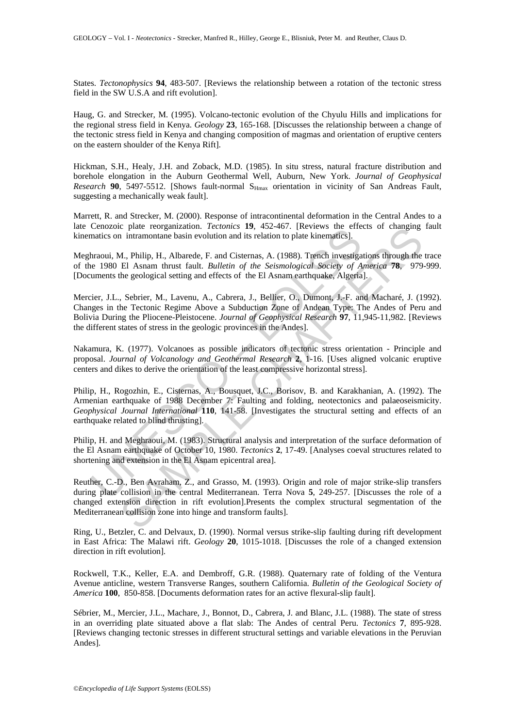States. *Tectonophysics* **94**, 483-507. [Reviews the relationship between a rotation of the tectonic stress field in the SW U.S.A and rift evolution].

Haug, G. and Strecker, M. (1995). Volcano-tectonic evolution of the Chyulu Hills and implications for the regional stress field in Kenya. *Geology* **23**, 165-168. [Discusses the relationship between a change of the tectonic stress field in Kenya and changing composition of magmas and orientation of eruptive centers on the eastern shoulder of the Kenya Rift].

Hickman, S.H., Healy, J.H. and Zoback, M.D. (1985). In situ stress, natural fracture distribution and borehole elongation in the Auburn Geothermal Well, Auburn, New York. *Journal of Geophysical Research* 90, 5497-5512. [Shows fault-normal S<sub>Hmax</sub> orientation in vicinity of San Andreas Fault, suggesting a mechanically weak fault].

Marrett, R. and Strecker, M. (2000). Response of intracontinental deformation in the Central Andes to a late Cenozoic plate reorganization. *Tectonics* **19**, 452-467. [Reviews the effects of changing fault kinematics on intramontane basin evolution and its relation to plate kinematics].

Meghraoui, M., Philip, H., Albarede, F. and Cisternas, A. (1988). Trench investigations through the trace of the 1980 El Asnam thrust fault. *Bulletin of the Seismological Society of America* **78**, 979-999. [Documents the geological setting and effects of the El Asnam earthquake, Algeria].

entionic piate Teologianization. Tectionics 15, +22-40. (Levews the energy and energy and energy and energy and Cisternans, A. (1988). Trench investigate 1980 El Asiam thrust fault. *Bulletin of the Seismological Society o C* pate reorganization. *recentos* **14**,  $\approx$  43-66.<br>
A. Philip, H., Albarede, F. and Cisternas, A. (1988). Trench investigations through the El Asnam thrust fault. *Bulletin of the Seismological Society of America 78*, Mercier, J.L., Sebrier, M., Lavenu, A., Cabrera, J., Bellier, O., Dumont, J.-F. and Macharé, J. (1992). Changes in the Tectonic Regime Above a Subduction Zone of Andean Type: The Andes of Peru and Bolivia During the Pliocene-Pleistocene. *Journal of Geophysical Research* **97**, 11,945-11,982. [Reviews the different states of stress in the geologic provinces in the Andes].

Nakamura, K. (1977). Volcanoes as possible indicators of tectonic stress orientation - Principle and proposal. *Journal of Volcanology and Geothermal Research* **2**, 1-16. [Uses aligned volcanic eruptive centers and dikes to derive the orientation of the least compressive horizontal stress].

Philip, H., Rogozhin, E., Cisternas, A., Bousquet, J.C., Borisov, B. and Karakhanian, A. (1992). The Armenian earthquake of 1988 December 7: Faulting and folding, neotectonics and palaeoseismicity. *Geophysical Journal International* **110**, 141-58. [Investigates the structural setting and effects of an earthquake related to blind thrusting].

Philip, H. and Meghraoui, M. (1983). Structural analysis and interpretation of the surface deformation of the El Asnam earthquake of October 10, 1980. *Tectonics* **2**, 17-49. [Analyses coeval structures related to shortening and extension in the El Asnam epicentral area].

Reuther, C.-D., Ben Avraham, Z., and Grasso, M. (1993). Origin and role of major strike-slip transfers during plate collision in the central Mediterranean. Terra Nova **5**, 249-257. [Discusses the role of a changed extension direction in rift evolution].Presents the complex structural segmentation of the Mediterranean collision zone into hinge and transform faults].

Ring, U., Betzler, C. and Delvaux, D. (1990). Normal versus strike-slip faulting during rift development in East Africa: The Malawi rift. *Geology* **20**, 1015-1018. [Discusses the role of a changed extension direction in rift evolution].

Rockwell, T.K., Keller, E.A. and Dembroff, G.R. (1988). Quaternary rate of folding of the Ventura Avenue anticline, western Transverse Ranges, southern California. *Bulletin of the Geological Society of America* **100**, 850-858. [Documents deformation rates for an active flexural-slip fault].

Sébrier, M., Mercier, J.L., Machare, J., Bonnot, D., Cabrera, J. and Blanc, J.L. (1988). The state of stress in an overriding plate situated above a flat slab: The Andes of central Peru. *Tectonics* **7**, 895-928. [Reviews changing tectonic stresses in different structural settings and variable elevations in the Peruvian Andes].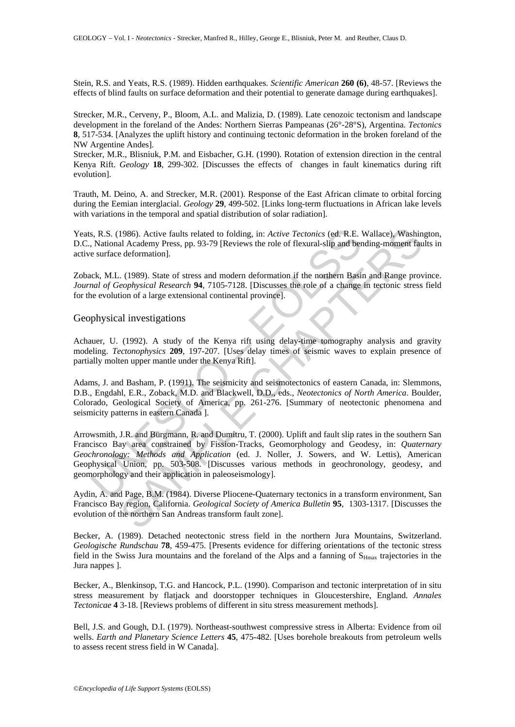Stein, R.S. and Yeats, R.S. (1989). Hidden earthquakes. *Scientific American* **260 (6)**, 48-57. [Reviews the effects of blind faults on surface deformation and their potential to generate damage during earthquakes].

Strecker, M.R., Cerveny, P., Bloom, A.L. and Malizia, D. (1989). Late cenozoic tectonism and landscape development in the foreland of the Andes: Northern Sierras Pampeanas (26°-28°S), Argentina. *Tectonics* **8**, 517-534. [Analyzes the uplift history and continuing tectonic deformation in the broken foreland of the NW Argentine Andes].

Strecker, M.R., Blisniuk, P.M. and Eisbacher, G.H. (1990). Rotation of extension direction in the central Kenya Rift. *Geology* **18**, 299-302. [Discusses the effects of changes in fault kinematics during rift evolution].

Trauth, M. Deino, A. and Strecker, M.R. (2001). Response of the East African climate to orbital forcing during the Eemian interglacial. *Geology* **29**, 499-502. [Links long-term fluctuations in African lake levels with variations in the temporal and spatial distribution of solar radiation].

Yeats, R.S. (1986). Active faults related to folding, in: *Active Tectonics* (ed. R.E. Wallace), Washington, D.C., National Academy Press, pp. 93-79 [Reviews the role of flexural-slip and bending-moment faults in active surface deformation].

Zoback, M.L. (1989). State of stress and modern deformation if the northern Basin and Range province. *Journal of Geophysical Research* **94**, 7105-7128. [Discusses the role of a change in tectonic stress field for the evolution of a large extensional continental province].

### Geophysical investigations

Achauer, U. (1992). A study of the Kenya rift using delay-time tomography analysis and gravity modeling. *Tectonophysics* **209**, 197-207. [Uses delay times of seismic waves to explain presence of partially molten upper mantle under the Kenya Rift].

Adams, J. and Basham, P. (1991). The seismicity and seismotectonics of eastern Canada, in: Slemmons, D.B., Engdahl, E.R., Zoback, M.D. and Blackwell, D.D., eds., *Neotectonics of North America*. Boulder, Colorado, Geological Society of America, pp. 261-276. [Summary of neotectonic phenomena and seismicity patterns in eastern Canada ].

s, R.S. (1986). Active faults related to folding, in: *Active Tectonics* (cd. R.E.)<br>
National Academy Press, pp. 93-79 [Reviews the role of flexural-slip and bere surface deformation].<br>
Leck, M.L. (1989). State of stress a 1986). Active faults related to folding, in: *Active Tectonics* (cd. R.E. Wallace), Washin al Aeademy Press, pp. 93-79 [Reviews the role of flexural-slip and bending-moment faulted eformation).<br>
(1989). State of stress and Arrowsmith, J.R. and Bürgmann, R. and Dumitru, T. (2000). Uplift and fault slip rates in the southern San Francisco Bay area constrained by Fission-Tracks, Geomorphology and Geodesy, in: *Quaternary Geochronology: Methods and Application* (ed. J. Noller, J. Sowers, and W. Lettis), American Geophysical Union, pp. 503-508. [Discusses various methods in geochronology, geodesy, and geomorphology and their application in paleoseismology].

Aydin, A. and Page, B.M. (1984). Diverse Pliocene-Quaternary tectonics in a transform environment, San Francisco Bay region, California. *Geological Society of America Bulletin* **95**, 1303-1317. [Discusses the evolution of the northern San Andreas transform fault zone].

Becker, A. (1989). Detached neotectonic stress field in the northern Jura Mountains, Switzerland. *Geologische Rundschau* **78**, 459-475. [Presents evidence for differing orientations of the tectonic stress field in the Swiss Jura mountains and the foreland of the Alps and a fanning of  $S_{Hmax}$  trajectories in the Jura nappes ].

Becker, A., Blenkinsop, T.G. and Hancock, P.L. (1990). Comparison and tectonic interpretation of in situ stress measurement by flatjack and doorstopper techniques in Gloucestershire, England. *Annales Tectonicae* **4** 3-18. [Reviews problems of different in situ stress measurement methods].

Bell, J.S. and Gough, D.I. (1979). Northeast-southwest compressive stress in Alberta: Evidence from oil wells. *Earth and Planetary Science Letters* **45**, 475-482. [Uses borehole breakouts from petroleum wells to assess recent stress field in W Canada].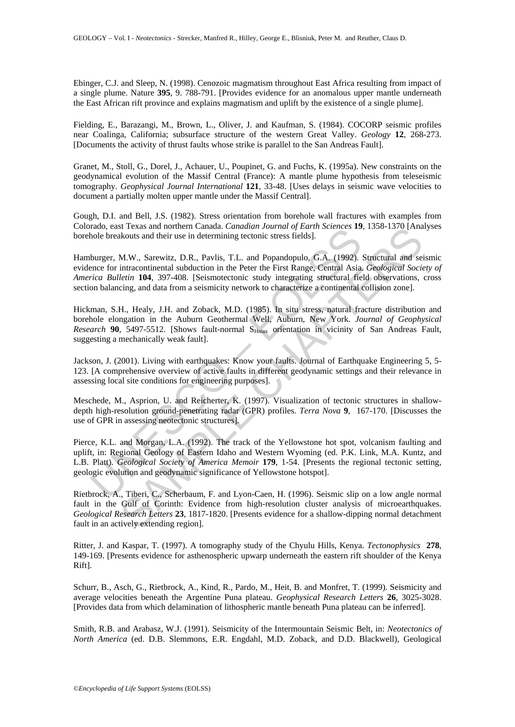Ebinger, C.J. and Sleep, N. (1998). Cenozoic magmatism throughout East Africa resulting from impact of a single plume. Nature **395**, 9. 788-791. [Provides evidence for an anomalous upper mantle underneath the East African rift province and explains magmatism and uplift by the existence of a single plume].

Fielding, E., Barazangi, M., Brown, L., Oliver, J. and Kaufman, S. (1984). COCORP seismic profiles near Coalinga, California; subsurface structure of the western Great Valley. *Geology* **12**, 268-273. [Documents the activity of thrust faults whose strike is parallel to the San Andreas Fault].

Granet, M., Stoll, G., Dorel, J., Achauer, U., Poupinet, G. and Fuchs, K. (1995a). New constraints on the geodynamical evolution of the Massif Central (France): A mantle plume hypothesis from teleseismic tomography. *Geophysical Journal International* **121**, 33-48. [Uses delays in seismic wave velocities to document a partially molten upper mantle under the Massif Central].

Gough, D.I. and Bell, J.S. (1982). Stress orientation from borehole wall fractures with examples from Colorado, east Texas and northern Canada. *Canadian Journal of Earth Sciences* **19**, 1358-1370 [Analyses borehole breakouts and their use in determining tectonic stress fields].

Hamburger, M.W., Sarewitz, D.R., Pavlis, T.L. and Popandopulo, G.A. (1992). Structural and seismic evidence for intracontinental subduction in the Peter the First Range, Central Asia. *Geological Society of America Bulletin* **104**, 397-408. [Seismotectonic study integrating structural field observations, cross section balancing, and data from a seismicity network to characterize a continental collision zone].

Hickman, S.H., Healy, J.H. and Zoback, M.D. (1985). In situ stress, natural fracture distribution and borehole elongation in the Auburn Geothermal Well, Auburn, New York. *Journal of Geophysical Research* 90, 5497-5512. [Shows fault-normal S<sub>Hmax</sub> orientation in vicinity of San Andreas Fault, suggesting a mechanically weak fault].

Jackson, J. (2001). Living with earthquakes: Know your faults. Journal of Earthquake Engineering 5, 5- 123. [A comprehensive overview of active faults in different geodynamic settings and their relevance in assessing local site conditions for engineering purposes].

Meschede, M., Asprion, U. and Reicherter, K. (1997). Visualization of tectonic structures in shallowdepth high-resolution ground-penetrating radar (GPR) profiles. *Terra Nova* **9**, 167-170. [Discusses the use of GPR in assessing neotectonic structures].

atao, east exas and notinent canaati. Camanim Journal of Larma<br>tao, east exas and their use in determining tectonic stress fields].<br>
burger, M.W., Sarewitz, D.R., Pavlis, T.L. and Popandopulo, G.A. (1992).<br>
hurger, M.W., S i exas and nontern canaca. *Cantania Journal of permi sciences* **19**, 1558-1570 [Ama<br>ikouts and their use in determining tectonic stress fields].<br>M.W., Sarewitz, D.R., Pavlis, T.L. and Popandopulo, G.A. (1992). Structural Pierce, K.L. and Morgan, L.A. (1992). The track of the Yellowstone hot spot, volcanism faulting and uplift, in: Regional Geology of Eastern Idaho and Western Wyoming (ed. P.K. Link, M.A. Kuntz, and L.B. Platt). *Geological Society of America Memoir* **179**, 1-54. [Presents the regional tectonic setting, geologic evolution and geodynamic significance of Yellowstone hotspot].

Rietbrock, A., Tiberi, C., Scherbaum, F. and Lyon-Caen, H. (1996). Seismic slip on a low angle normal fault in the Gulf of Corinth: Evidence from high-resolution cluster analysis of microearthquakes. *Geological Research Letters* **23**, 1817-1820. [Presents evidence for a shallow-dipping normal detachment fault in an actively extending region].

Ritter, J. and Kaspar, T. (1997). A tomography study of the Chyulu Hills, Kenya. *Tectonophysics* **278**, 149-169. [Presents evidence for asthenospheric upwarp underneath the eastern rift shoulder of the Kenya Rift].

Schurr, B., Asch, G., Rietbrock, A., Kind, R., Pardo, M., Heit, B. and Monfret, T. (1999). Seismicity and average velocities beneath the Argentine Puna plateau. *Geophysical Research Letters* **26**, 3025-3028. [Provides data from which delamination of lithospheric mantle beneath Puna plateau can be inferred].

Smith, R.B. and Arabasz, W.J. (1991). Seismicity of the Intermountain Seismic Belt, in: *Neotectonics of North America* (ed. D.B. Slemmons, E.R. Engdahl, M.D. Zoback, and D.D. Blackwell), Geological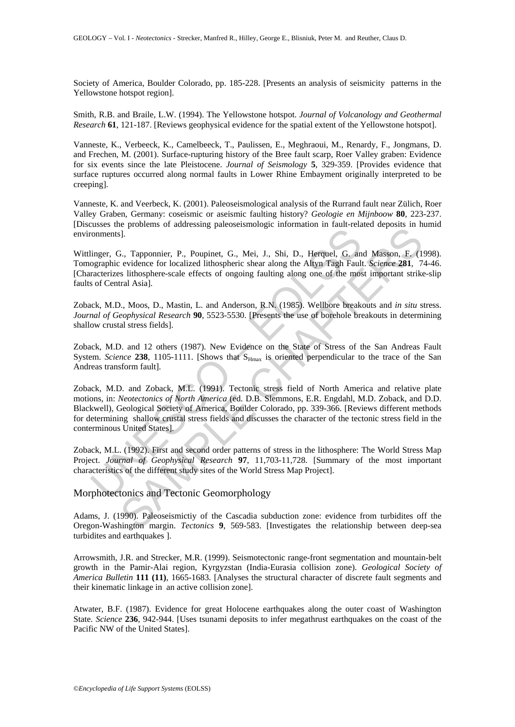Society of America, Boulder Colorado, pp. 185-228. [Presents an analysis of seismicity patterns in the Yellowstone hotspot region].

Smith, R.B. and Braile, L.W. (1994). The Yellowstone hotspot. *Journal of Volcanology and Geothermal Research* **61**, 121-187. [Reviews geophysical evidence for the spatial extent of the Yellowstone hotspot].

Vanneste, K., Verbeeck, K., Camelbeeck, T., Paulissen, E., Meghraoui, M., Renardy, F., Jongmans, D. and Frechen, M. (2001). Surface-rupturing history of the Bree fault scarp, Roer Valley graben: Evidence for six events since the late Pleistocene. *Journal of Seismology* **5**, 329-359. [Provides evidence that surface ruptures occurred along normal faults in Lower Rhine Embayment originally interpreted to be creeping].

Vanneste, K. and Veerbeck, K. (2001). Paleoseismological analysis of the Rurrand fault near Zülich, Roer Valley Graben, Germany: coseismic or aseismic faulting history? *Geologie en Mijnboow* **80**, 223-237. [Discusses the problems of addressing paleoseismologic information in fault-related deposits in humid environments].

Wittlinger, G., Tapponnier, P., Poupinet, G., Mei, J., Shi, D., Herquel, G. and Masson, F. (1998). Tomographic evidence for localized lithospheric shear along the Altyn Tagh Fault. *Science* **281**, 74-46. [Characterizes lithosphere-scale effects of ongoing faulting along one of the most important strike-slip faults of Central Asia].

Zoback, M.D., Moos, D., Mastin, L. and Anderson, R.N. (1985). Wellbore breakouts and *in situ* stress. *Journal of Geophysical Research* **90**, 5523-5530. [Presents the use of borehole breakouts in determining shallow crustal stress fields].

Zoback, M.D. and 12 others (1987). New Evidence on the State of Stress of the San Andreas Fault System. *Science* 238, 1105-1111. [Shows that S<sub>Hmax</sub> is oriented perpendicular to the trace of the San Andreas transform fault].

Tommers and The University Comparison of the World Street<br>
Elinger, G., Tapponnier, P., Poupinet, G., Mei, J., Shi, D., Herquel, G. an<br>
orgaraphic evidence for localized lithospheric shear along the Altyn Tagh Fault<br>
racte is procedure of locations procedured and the subset of the minimal of the minimal of the certain of evolution of the certain of evolutions of the certain of the certain of the certain of the minimal state. Subset and the m Zoback, M.D. and Zoback, M.L. (1991). Tectonic stress field of North America and relative plate motions, in: *Neotectonics of North America* (ed. D.B. Slemmons, E.R. Engdahl, M.D. Zoback, and D.D. Blackwell), Geological Society of America, Boulder Colorado, pp. 339-366. [Reviews different methods for determining shallow crustal stress fields and discusses the character of the tectonic stress field in the conterminous United States].

Zoback, M.L. (1992). First and second order patterns of stress in the lithosphere: The World Stress Map Project. *Journal of Geophysical Research* **97**, 11,703-11,728. [Summary of the most important characteristics of the different study sites of the World Stress Map Project].

### Morphotectonics and Tectonic Geomorphology

Adams, J. (1990). Paleoseismictiy of the Cascadia subduction zone: evidence from turbidites off the Oregon-Washington margin. *Tectonics* **9**, 569-583. [Investigates the relationship between deep-sea turbidites and earthquakes ].

Arrowsmith, J.R. and Strecker, M.R. (1999). Seismotectonic range-front segmentation and mountain-belt growth in the Pamir-Alai region, Kyrgyzstan (India-Eurasia collision zone). *Geological Society of America Bulletin* **111 (11)**, 1665-1683. [Analyses the structural character of discrete fault segments and their kinematic linkage in an active collision zone].

Atwater, B.F. (1987). Evidence for great Holocene earthquakes along the outer coast of Washington State. *Science* **236**, 942-944. [Uses tsunami deposits to infer megathrust earthquakes on the coast of the Pacific NW of the United States].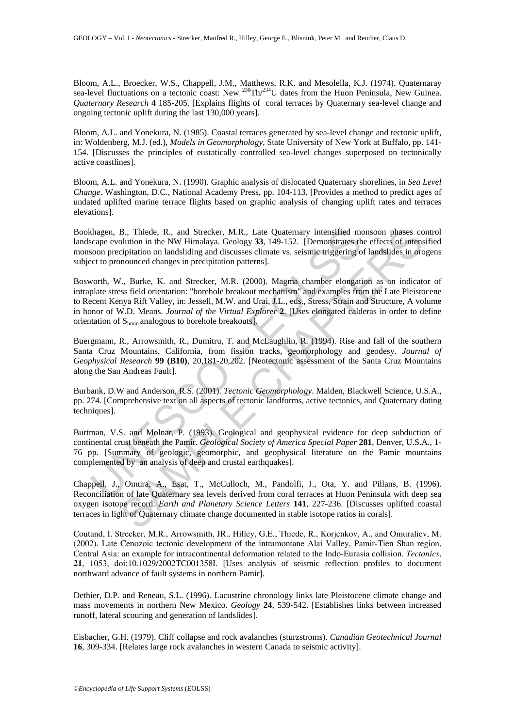Bloom, A.L., Broecker, W.S., Chappell, J.M., Matthews, R.K. and Mesolella, K.J. (1974). Quaternaray sea-level fluctuations on a tectonic coast: New <sup>230</sup>Th/<sup>234</sup>U dates from the Huon Peninsula, New Guinea. *Quaternary Research* **4** 185-205. [Explains flights of coral terraces by Quaternary sea-level change and ongoing tectonic uplift during the last 130,000 years].

Bloom, A.L. and Yonekura, N. (1985). Coastal terraces generated by sea-level change and tectonic uplift, in: Woldenberg, M.J. (ed.), *Models in Geomorphology*, State University of New York at Buffalo, pp. 141- 154. [Discusses the principles of eustatically controlled sea-level changes superposed on tectonically active coastlines].

Bloom, A.L. and Yonekura, N. (1990). Graphic analysis of dislocated Quaternary shorelines, in *Sea Level Change*. Washington, D.C., National Academy Press, pp. 104-113. [Provides a method to predict ages of undated uplifted marine terrace flights based on graphic analysis of changing uplift rates and terraces elevations].

Bookhagen, B., Thiede, R., and Strecker, M.R., Late Quaternary intensified monsoon phases control landscape evolution in the NW Himalaya. Geology **33**, 149-152. [Demonstrates the effects of intensified monsoon precipitation on landsliding and discusses climate vs. seismic triggering of landslides in orogens subject to pronounced changes in precipitation patterns].

chagen, B., Thiede, R., and Strecker, M.R., Late Quaternary intensified moton evolvition in the NW Himalaya. Geology 33, 149-152. [Demonstrates theoron precipitation on landsliding and discusses climate vs. seismic trigger B., Thiede, R., and Strecker, M.R., Late Quaternary intensified monsoon phases colution in the NW Himalaya. Geology 33, 149-152. [Demonstrates the effects of intensified monton in the NW Himalaya. Geology 33, 149-152. [Dem Bosworth, W., Burke, K. and Strecker, M.R. (2000). Magma chamber elongation as an indicator of intraplate stress field orientation: "borehole breakout mechanism" and examples from the Late Pleistocene to Recent Kenya Rift Valley, in: Jessell, M.W. and Urai, J.L., eds., Stress, Strain and Structure, A volume in honor of W.D. Means. *Journal of the Virtual Explorer* **2**. [Uses elongated calderas in order to define orientation of Shmin analogous to borehole breakouts].

Buergmann, R., Arrowsmith, R., Dumitru, T. and McLaughlin, R. (1994). Rise and fall of the southern Santa Cruz Mountains, California, from fission tracks, geomorphology and geodesy. *Journal of Geophysical Research* **99 (B10)**, 20,181-20,202. [Neotectonic assessment of the Santa Cruz Mountains along the San Andreas Fault].

Burbank, D.W and Anderson, R.S. (2001). *Tectonic Geomorphology*. Malden, Blackwell Science, U.S.A., pp. 274. [Comprehensive text on all aspects of tectonic landforms, active tectonics, and Quaternary dating techniques].

Burtman, V.S. and Molnar, P. (1993). Geological and geophysical evidence for deep subduction of continental crust beneath the Pamir. *Geological Society of America Special Paper* **281**, Denver, U.S.A., 1- 76 pp. [Summary of geologic, geomorphic, and geophysical literature on the Pamir mountains complemented by an analysis of deep and crustal earthquakes].

Chappell, J., Omura, A., Esat, T., McCulloch, M., Pandolfi, J., Ota, Y. and Pillans, B. (1996). Reconciliation of late Quaternary sea levels derived from coral terraces at Huon Peninsula with deep sea oxygen isotope record. *Earth and Planetary Science Letters* **141**, 227-236. [Discusses uplifted coastal terraces in light of Quaternary climate change documented in stable isotope ratios in corals].

Coutand, I. Strecker, M.R., Arrowsmith, JR., Hilley, G.E., Thiede, R., Korjenkov, A., and Omuraliev, M. (2002). Late Cenozoic tectonic development of the intramontane Alai Valley, Pamir-Tien Shan region, Central Asia: an example for intracontinental deformation related to the Indo-Eurasia collision. *Tectonics*, **21**, 1053, doi:10.1029/2002TC001358I. [Uses analysis of seismic reflection profiles to document northward advance of fault systems in northern Pamir].

Dethier, D.P. and Reneau, S.L. (1996). Lacustrine chronology links late Pleistocene climate change and mass movements in northern New Mexico. *Geology* **24**, 539-542. [Establishes links between increased runoff, lateral scouring and generation of landslides].

Eisbacher, G.H. (1979). Cliff collapse and rock avalanches (sturzstroms). *Canadian Geotechnical Journal*  **16**, 309-334. [Relates large rock avalanches in western Canada to seismic activity].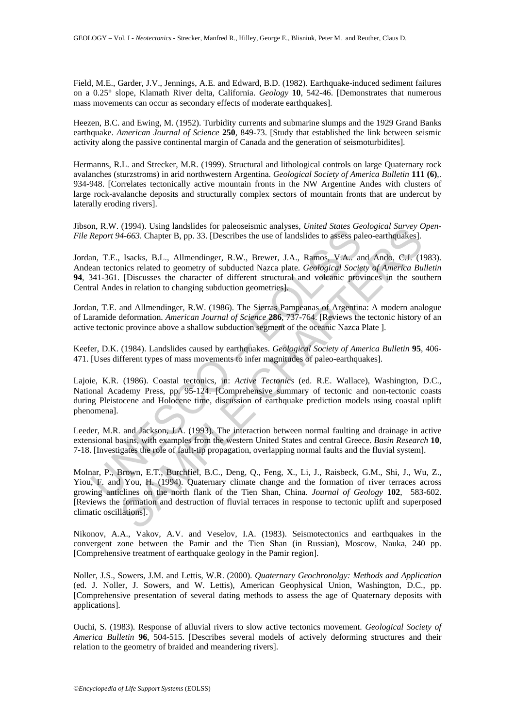Field, M.E., Garder, J.V., Jennings, A.E. and Edward, B.D. (1982). Earthquake-induced sediment failures on a 0.25° slope, Klamath River delta, California. *Geology* **10**, 542-46. [Demonstrates that numerous mass movements can occur as secondary effects of moderate earthquakes].

Heezen, B.C. and Ewing, M. (1952). Turbidity currents and submarine slumps and the 1929 Grand Banks earthquake. *American Journal of Science* **250**, 849-73. [Study that established the link between seismic activity along the passive continental margin of Canada and the generation of seismoturbidites].

Hermanns, R.L. and Strecker, M.R. (1999). Structural and lithological controls on large Quaternary rock avalanches (sturzstroms) in arid northwestern Argentina. *Geological Society of America Bulletin* **111 (6)**,. 934-948. [Correlates tectonically active mountain fronts in the NW Argentine Andes with clusters of large rock-avalanche deposits and structurally complex sectors of mountain fronts that are undercut by laterally eroding rivers].

Jibson, R.W. (1994). Using landslides for paleoseismic analyses, *United States Geological Survey Open-File Report 94-663*. Chapter B, pp. 33. [Describes the use of landslides to assess paleo-earthquakes].

In, K. w. (1974). Sang lantistics for pateologismic analyses, *onitea* states of and states of Report 94-663. Chapter B, pp. 33. [Describes the use of landslides to assess palar, T.E., Isacks, B.L., Allmendinger, R.W., Bre Jordan, T.E., Isacks, B.L., Allmendinger, R.W., Brewer, J.A., Ramos, V.A.. and Ando, C.J. (1983). Andean tectonics related to geometry of subducted Nazca plate. *Geological Society of America Bulletin*  **94**, 341-361. [Discusses the character of different structural and volcanic provinces in the southern Central Andes in relation to changing subduction geometries].

Jordan, T.E. and Allmendinger, R.W. (1986). The Sierras Pampeanas of Argentina: A modern analogue of Laramide deformation. *American Journal of Science* **286**, 737-764. [Reviews the tectonic history of an active tectonic province above a shallow subduction segment of the oceanic Nazca Plate ].

Keefer, D.K. (1984). Landslides caused by earthquakes. *Geological Society of America Bulletin* **95**, 406- 471. [Uses different types of mass movements to infer magnitudes of paleo-earthquakes].

Lajoie, K.R. (1986). Coastal tectonics, in: *Active Tectonics* (ed. R.E. Wallace), Washington, D.C., National Academy Press, pp. 95-124. [Comprehensive summary of tectonic and non-tectonic coasts during Pleistocene and Holocene time, discussion of earthquake prediction models using coastal uplift phenomena].

Leeder, M.R. and Jackson, J.A. (1993). The interaction between normal faulting and drainage in active extensional basins, with examples from the western United States and central Greece. *Basin Research* **10**, 7-18. [Investigates the role of fault-tip propagation, overlapping normal faults and the fluvial system].

(1994). Using limitsings to replacests inc analyses, *onteed States Geologycal Survey* (1.1994). Chapter B, pp. 33. [Describes the use of landslides to assess paleo-earthquakes]. [Sacks, B.L., Allmendinger, R.W., Brewer, Molnar, P., Brown, E.T., Burchfiel, B.C., Deng, Q., Feng, X., Li, J., Raisbeck, G.M., Shi, J., Wu, Z., Yiou, F. and You, H. (1994). Quaternary climate change and the formation of river terraces across growing anticlines on the north flank of the Tien Shan, China. *Journal of Geology* **102**, 583-602. [Reviews the formation and destruction of fluvial terraces in response to tectonic uplift and superposed climatic oscillations].

Nikonov, A.A., Vakov, A.V. and Veselov, I.A. (1983). Seismotectonics and earthquakes in the convergent zone between the Pamir and the Tien Shan (in Russian), Moscow, Nauka, 240 pp. [Comprehensive treatment of earthquake geology in the Pamir region].

Noller, J.S., Sowers, J.M. and Lettis, W.R. (2000). *Quaternary Geochronolgy: Methods and Application* (ed. J. Noller, J. Sowers, and W. Lettis), American Geophysical Union, Washington, D.C., pp. [Comprehensive presentation of several dating methods to assess the age of Quaternary deposits with applications].

Ouchi, S. (1983). Response of alluvial rivers to slow active tectonics movement. *Geological Society of America Bulletin* **96**, 504-515. [Describes several models of actively deforming structures and their relation to the geometry of braided and meandering rivers].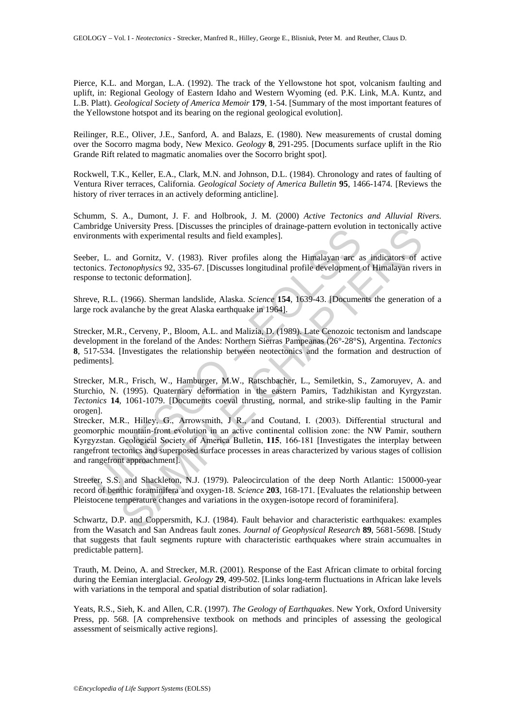Pierce, K.L. and Morgan, L.A. (1992). The track of the Yellowstone hot spot, volcanism faulting and uplift, in: Regional Geology of Eastern Idaho and Western Wyoming (ed. P.K. Link, M.A. Kuntz, and L.B. Platt). *Geological Society of America Memoir* **179**, 1-54. [Summary of the most important features of the Yellowstone hotspot and its bearing on the regional geological evolution].

Reilinger, R.E., Oliver, J.E., Sanford, A. and Balazs, E. (1980). New measurements of crustal doming over the Socorro magma body, New Mexico. *Geology* **8**, 291-295. [Documents surface uplift in the Rio Grande Rift related to magmatic anomalies over the Socorro bright spot].

Rockwell, T.K., Keller, E.A., Clark, M.N. and Johnson, D.L. (1984). Chronology and rates of faulting of Ventura River terraces, California. *Geological Society of America Bulletin* **95**, 1466-1474. [Reviews the history of river terraces in an actively deforming anticline].

Schumm, S. A., Dumont, J. F. and Holbrook, J. M. (2000) *Active Tectonics and Alluvial Rivers.* Cambridge University Press. [Discusses the principles of drainage-pattern evolution in tectonically active environments with experimental results and field examples].

Seeber, L. and Gornitz, V. (1983). River profiles along the Himalayan arc as indicators of active tectonics. *Tectonophysics* 92, 335-67. [Discusses longitudinal profile development of Himalayan rivers in response to tectonic deformation].

Shreve, R.L. (1966). Sherman landslide, Alaska. *Science* **154**, 1639-43. [Documents the generation of a large rock avalanche by the great Alaska earthquake in 1964].

Strecker, M.R., Cerveny, P., Bloom, A.L. and Malizia, D. (1989). Late Cenozoic tectonism and landscape development in the foreland of the Andes: Northern Sierras Pampeanas (26°-28°S), Argentina. *Tectonics* **8**, 517-534. [Investigates the relationship between neotectonics and the formation and destruction of pediments].

Strecker, M.R., Frisch, W., Hamburger, M.W., Ratschbacher, L., Semiletkin, S., Zamoruyev, A. and Sturchio, N. (1995). Quaternary deformation in the eastern Pamirs, Tadzhikistan and Kyrgyzstan. *Tectonics* **14**, 1061-1079. [Documents coeval thrusting, normal, and strike-slip faulting in the Pamir orogen].

bruge University Tress, [Dissuess are pinniples of the dinept solution<br>comments with experimental results and field examples].<br>
er, L. and Gomitz, V. (1983). River profiles along the Himalayan are a<br>
nics. *Tectonophysics* mversisty Press, LDscusses the principles of training<br>e-pattern volution in tectonically a<br>with experimental results and field examples].<br>
And Gornitz, V. (1983). River profiles along the Himalayan are as indicators of *a* Strecker, M.R., Hilley, G., Arrowsmith, J R., and Coutand, I. (2003). Differential structural and geomorphic mountain-front evolution in an active continental collision zone: the NW Pamir, southern Kyrgyzstan. Geological Society of America Bulletin, **115**, 166-181 [Investigates the interplay between rangefront tectonics and superposed surface processes in areas characterized by various stages of collision and rangefront approachment].

Streeter, S.S. and Shackleton, N.J. (1979). Paleocirculation of the deep North Atlantic: 150000-year record of benthic foraminifera and oxygen-18. *Science* **203**, 168-171. [Evaluates the relationship between Pleistocene temperature changes and variations in the oxygen-isotope record of foraminifera].

Schwartz, D.P. and Coppersmith, K.J. (1984). Fault behavior and characteristic earthquakes: examples from the Wasatch and San Andreas fault zones. *Journal of Geophysical Research* **89**, 5681-5698. [Study that suggests that fault segments rupture with characteristic earthquakes where strain accumualtes in predictable pattern].

Trauth, M. Deino, A. and Strecker, M.R. (2001). Response of the East African climate to orbital forcing during the Eemian interglacial. *Geology* **29**, 499-502. [Links long-term fluctuations in African lake levels with variations in the temporal and spatial distribution of solar radiation].

Yeats, R.S., Sieh, K. and Allen, C.R. (1997). *The Geology of Earthquakes*. New York, Oxford University Press, pp. 568. [A comprehensive textbook on methods and principles of assessing the geological assessment of seismically active regions].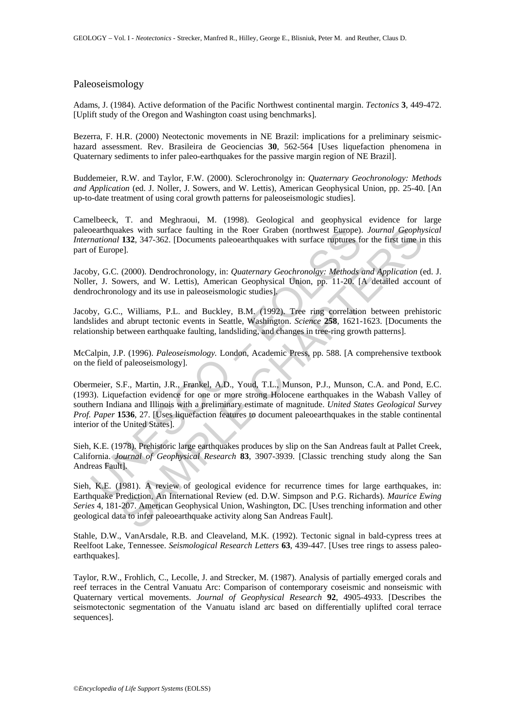## Paleoseismology

Adams, J. (1984). Active deformation of the Pacific Northwest continental margin. *Tectonics* **3**, 449-472. [Uplift study of the Oregon and Washington coast using benchmarks].

Bezerra, F. H.R. (2000) Neotectonic movements in NE Brazil: implications for a preliminary seismichazard assessment. Rev. Brasileira de Geociencias **30**, 562-564 [Uses liquefaction phenomena in Quaternary sediments to infer paleo-earthquakes for the passive margin region of NE Brazil].

Buddemeier, R.W. and Taylor, F.W. (2000). Sclerochronolgy in: *Quaternary Geochronology: Methods and Application* (ed. J. Noller, J. Sowers, and W. Lettis), American Geophysical Union, pp. 25-40. [An up-to-date treatment of using coral growth patterns for paleoseismologic studies].

Camelbeeck, T. and Meghraoui, M. (1998). Geological and geophysical evidence for large paleoearthquakes with surface faulting in the Roer Graben (northwest Europe). *Journal Geophysical International* **132**, 347-362. [Documents paleoearthquakes with surface ruptures for the first time in this part of Europe].

Jacoby, G.C. (2000). Dendrochronology, in: *Quaternary Geochronolgy: Methods and Application* (ed. J. Noller, J. Sowers, and W. Lettis), American Geophysical Union, pp. 11-20. [A detailed account of dendrochronology and its use in paleoseismologic studies].

Jacoby, G.C., Williams, P.L. and Buckley, B.M. (1992). Tree ring correlation between prehistoric landslides and abrupt tectonic events in Seattle, Washington. *Science* **258**, 1621-1623. [Documents the relationship between earthquake faulting, landsliding, and changes in tree-ring growth patterns].

McCalpin, J.P. (1996). *Paleoseismology.* London, Academic Press, pp. 588. [A comprehensive textbook on the field of paleoseismology].

bratthquakes with surface faulting in the Roer Graben (northwest Europe).<br>
Interioral 132, 347-362. [Documents paleoearthquakes with surface ruptures for<br>
foliverel.<br>
In Surface 1120. 2000). Dendrochronology, in: Quaternar Also, 31, 347-362. [Documents paleocaring into Rock Europe). *Journal Geophy*<br>
132, 347-362. [Documents paleocarthquakes with surface ruptures for the first time in<br>
132, 347-362. [Documents paleocarthquakes with surface r Obermeier, S.F., Martin, J.R., Frankel, A.D., Youd, T.L., Munson, P.J., Munson, C.A. and Pond, E.C. (1993). Liquefaction evidence for one or more strong Holocene earthquakes in the Wabash Valley of southern Indiana and Illinois with a preliminary estimate of magnitude. *United States Geological Survey Prof. Paper* **1536**, 27. [Uses liquefaction features to document paleoearthquakes in the stable continental interior of the United States].

Sieh, K.E. (1978). Prehistoric large earthquakes produces by slip on the San Andreas fault at Pallet Creek, California. *Journal of Geophysical Research* **83**, 3907-3939. [Classic trenching study along the San Andreas Fault].

Sieh, K.E. (1981). A review of geological evidence for recurrence times for large earthquakes, in: Earthquake Prediction, An International Review (ed. D.W. Simpson and P.G. Richards). *Maurice Ewing Series* 4, 181-207. American Geophysical Union, Washington, DC. [Uses trenching information and other geological data to infer paleoearthquake activity along San Andreas Fault].

Stahle, D.W., VanArsdale, R.B. and Cleaveland, M.K. (1992). Tectonic signal in bald-cypress trees at Reelfoot Lake, Tennessee. *Seismological Research Letters* **63**, 439-447. [Uses tree rings to assess paleoearthquakes].

Taylor, R.W., Frohlich, C., Lecolle, J. and Strecker, M. (1987). Analysis of partially emerged corals and reef terraces in the Central Vanuatu Arc: Comparison of contemporary coseismic and nonseismic with Quaternary vertical movements. *Journal of Geophysical Research* **92**, 4905-4933. [Describes the seismotectonic segmentation of the Vanuatu island arc based on differentially uplifted coral terrace sequences].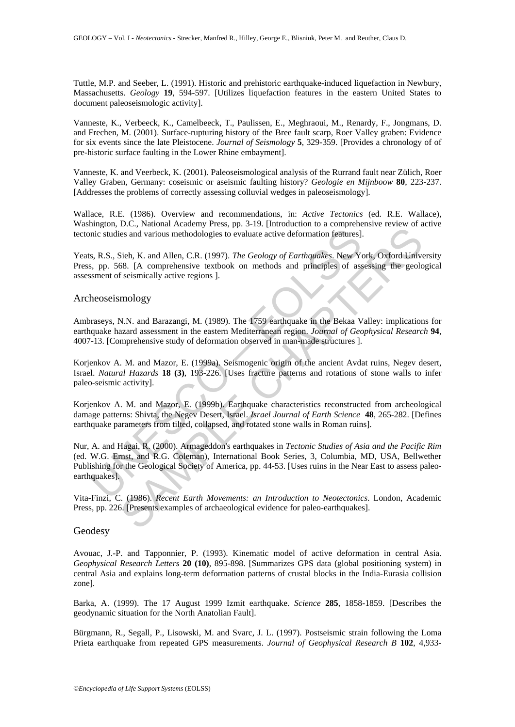Tuttle, M.P. and Seeber, L. (1991). Historic and prehistoric earthquake-induced liquefaction in Newbury, Massachusetts. *Geology* **19**, 594-597. [Utilizes liquefaction features in the eastern United States to document paleoseismologic activity].

Vanneste, K., Verbeeck, K., Camelbeeck, T., Paulissen, E., Meghraoui, M., Renardy, F., Jongmans, D. and Frechen, M. (2001). Surface-rupturing history of the Bree fault scarp, Roer Valley graben: Evidence for six events since the late Pleistocene. *Journal of Seismology* **5**, 329-359. [Provides a chronology of of pre-historic surface faulting in the Lower Rhine embayment].

Vanneste, K. and Veerbeck, K. (2001). Paleoseismological analysis of the Rurrand fault near Zülich, Roer Valley Graben, Germany: coseismic or aseismic faulting history? *Geologie en Mijnboow* **80**, 223-237. [Addresses the problems of correctly assessing colluvial wedges in paleoseismology].

Wallace, R.E. (1986). Overview and recommendations, in: *Active Tectonics* (ed. R.E. Wallace), Washington, D.C., National Academy Press, pp. 3-19. [Introduction to a comprehensive review of active tectonic studies and various methodologies to evaluate active deformation features].

Yeats, R.S., Sieh, K. and Allen, C.R. (1997). *The Geology of Earthquakes*. New York, Oxford University Press, pp. 568. [A comprehensive textbook on methods and principles of assessing the geological assessment of seismically active regions ].

### Archeoseismology

Ambraseys, N.N. and Barazangi, M. (1989). The 1759 earthquake in the Bekaa Valley: implications for earthquake hazard assessment in the eastern Mediterranean region. *Journal of Geophysical Research* **94**, 4007-13. [Comprehensive study of deformation observed in man-made structures ].

Korjenkov A. M. and Mazor, E. (1999a). Seismogenic origin of the ancient Avdat ruins, Negev desert, Israel. *Natural Hazards* **18 (3)**, 193-226. [Uses fracture patterns and rotations of stone walls to infer paleo-seismic activity].

Korjenkov A. M. and Mazor, E. (1999b). Earthquake characteristics reconstructed from archeological damage patterns: Shivta, the Negev Desert, Israel. *Israel Journal of Earth Science* **48**, 265-282. [Defines earthquake parameters from tilted, collapsed, and rotated stone walls in Roman ruins].

inc studies and various methodologies to evaluate active deformation features]<br>s, R.S., Sieh, K. and Allen, C.R. (1997). *The Geology of Earthquakes*. New Yes, pp. 568. [A comprehensive textbook on methods and principles o Example the statemy restained to evaluate active deformation features).<br>
Example the Mallen, C.R. (1997). The Geology of Earthquakes. New York, Oxford Universe Side, 1A comprehensive textbook on methods and principles of Nur, A. and Hagai, R. (2000). Armageddon's earthquakes in *Tectonic Studies of Asia and the Pacific Rim* (ed. W.G. Ernst, and R.G. Coleman), International Book Series, 3, Columbia, MD, USA, Bellwether Publishing for the Geological Society of America, pp. 44-53. [Uses ruins in the Near East to assess paleoearthquakes].

Vita-Finzi, C. (1986). *Recent Earth Movements: an Introduction to Neotectonics*. London, Academic Press, pp. 226. [Presents examples of archaeological evidence for paleo-earthquakes].

### Geodesy

Avouac, J.-P. and Tapponnier, P. (1993). Kinematic model of active deformation in central Asia. *Geophysical Research Letters* **20 (10)**, 895-898. [Summarizes GPS data (global positioning system) in central Asia and explains long-term deformation patterns of crustal blocks in the India-Eurasia collision zone].

Barka, A. (1999). The 17 August 1999 Izmit earthquake. *Science* **285**, 1858-1859. [Describes the geodynamic situation for the North Anatolian Fault].

Bürgmann, R., Segall, P., Lisowski, M. and Svarc, J. L. (1997). Postseismic strain following the Loma Prieta earthquake from repeated GPS measurements. *Journal of Geophysical Research B* **102**, 4,933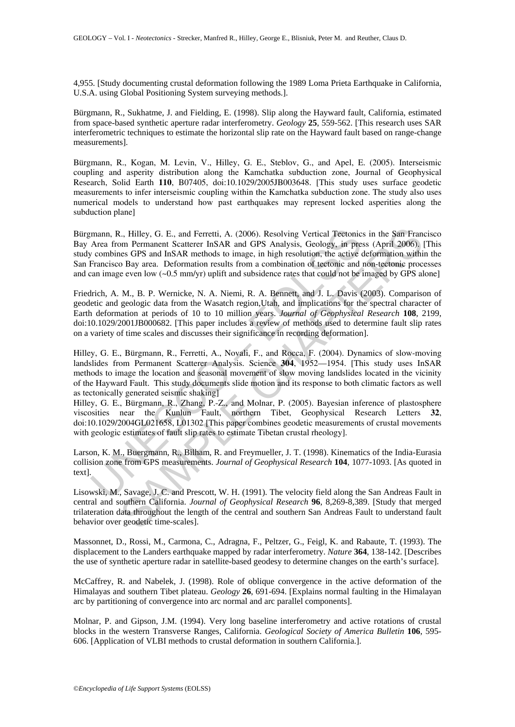4,955. [Study documenting crustal deformation following the 1989 Loma Prieta Earthquake in California, U.S.A. using Global Positioning System surveying methods.].

Bürgmann, R., Sukhatme, J. and Fielding, E. (1998). Slip along the Hayward fault, California, estimated from space-based synthetic aperture radar interferometry. *Geology* **25**, 559-562. [This research uses SAR interferometric techniques to estimate the horizontal slip rate on the Hayward fault based on range-change measurements].

Bürgmann, R., Kogan, M. Levin, V., Hilley, G. E., Steblov, G., and Apel, E. (2005). Interseismic coupling and asperity distribution along the Kamchatka subduction zone, Journal of Geophysical Research, Solid Earth **110**, B07405, doi:10.1029/2005JB003648. [This study uses surface geodetic measurements to infer interseismic coupling within the Kamchatka subduction zone. The study also uses numerical models to understand how past earthquakes may represent locked asperities along the subduction plane]

Bürgmann, R., Hilley, G. E., and Ferretti, A. (2006). Resolving Vertical Tectonics in the San Francisco Bay Area from Permanent Scatterer InSAR and GPS Analysis, Geology, in press (April 2006). [This study combines GPS and InSAR methods to image, in high resolution, the active deformation within the San Francisco Bay area. Deformation results from a combination of tectonic and non-tectonic processes and can image even low (~0.5 mm/yr) uplift and subsidence rates that could not be imaged by GPS alone]

mann, R., Hilley, G. E., and Ferretti, A. (2006). Resolving Vertical Tectonic<br>Area from Permanent Scatterer InSAR and GPS Analysis, Geology, in pre-<br>
r combines GPS and InSAR methods to image, in high resolution, the activ t., Hilley, G. E., and Ferretti, A. (2006). Resolving Vertical Tectonics in the San Fram<br>m Permannet Scatterr InSAR med GPS Analysis, Gcology, in press (April 2006).<br>Inses GPS and InSAR methods to image, in high resolution Friedrich, A. M., B. P. Wernicke, N. A. Niemi, R. A. Bennett, and J. L. Davis (2003). Comparison of geodetic and geologic data from the Wasatch region,Utah, and implications for the spectral character of Earth deformation at periods of 10 to 10 million years. *Journal of Geophysical Research* **108**, 2199, doi:10.1029/2001JB000682. [This paper includes a review of methods used to determine fault slip rates on a variety of time scales and discusses their significance in recording deformation].

Hilley, G. E., Bürgmann, R., Ferretti, A., Novali, F., and Rocca, F. (2004). Dynamics of slow-moving landslides from Permanent Scatterer Analysis. Science **304**, 1952—1954. [This study uses InSAR methods to image the location and seasonal movement of slow moving landslides located in the vicinity of the Hayward Fault. This study documents slide motion and its response to both climatic factors as well as tectonically generated seismic shaking]

Hilley, G. E., Bürgmann, R., Zhang, P.-Z., and Molnar, P. (2005). Bayesian inference of plastosphere viscosities near the Kunlun Fault, northern Tibet, Geophysical Research Letters **32**, doi:10.1029/2004GL021658, L01302 [This paper combines geodetic measurements of crustal movements with geologic estimates of fault slip rates to estimate Tibetan crustal rheology].

Larson, K. M., Buergmann, R., Bilham, R. and Freymueller, J. T. (1998). Kinematics of the India-Eurasia collision zone from GPS measurements. *Journal of Geophysical Research* **104**, 1077-1093. [As quoted in text].

Lisowski, M., Savage, J. C. and Prescott, W. H. (1991). The velocity field along the San Andreas Fault in central and southern California. *Journal of Geophysical Research* **96**, 8,269-8,389. [Study that merged trilateration data throughout the length of the central and southern San Andreas Fault to understand fault behavior over geodetic time-scales].

Massonnet, D., Rossi, M., Carmona, C., Adragna, F., Peltzer, G., Feigl, K. and Rabaute, T. (1993). The displacement to the Landers earthquake mapped by radar interferometry. *Nature* **364**, 138-142. [Describes the use of synthetic aperture radar in satellite-based geodesy to determine changes on the earth's surface].

McCaffrey, R. and Nabelek, J. (1998). Role of oblique convergence in the active deformation of the Himalayas and southern Tibet plateau. *Geology* **26**, 691-694. [Explains normal faulting in the Himalayan arc by partitioning of convergence into arc normal and arc parallel components].

Molnar, P. and Gipson, J.M. (1994). Very long baseline interferometry and active rotations of crustal blocks in the western Transverse Ranges, California. *Geological Society of America Bulletin* **106**, 595- 606. [Application of VLBI methods to crustal deformation in southern California.].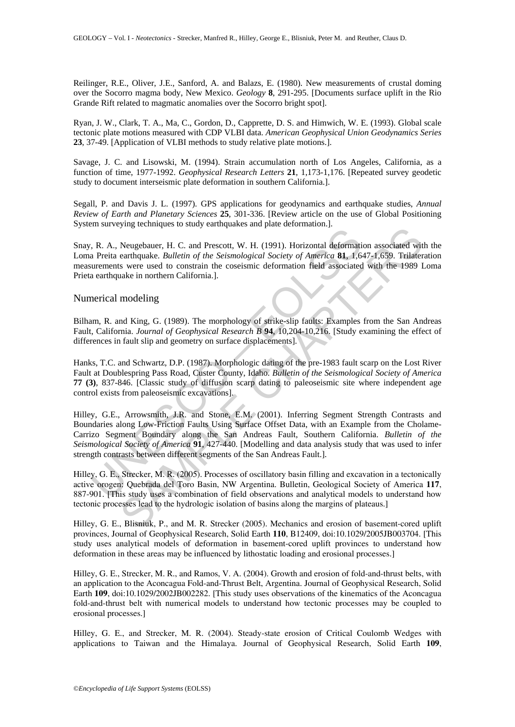Reilinger, R.E., Oliver, J.E., Sanford, A. and Balazs, E. (1980). New measurements of crustal doming over the Socorro magma body, New Mexico. *Geology* **8**, 291-295. [Documents surface uplift in the Rio Grande Rift related to magmatic anomalies over the Socorro bright spot].

Ryan, J. W., Clark, T. A., Ma, C., Gordon, D., Capprette, D. S. and Himwich, W. E. (1993). Global scale tectonic plate motions measured with CDP VLBI data. *American Geophysical Union Geodynamics Series* **23**, 37-49. [Application of VLBI methods to study relative plate motions.].

Savage, J. C. and Lisowski, M. (1994). Strain accumulation north of Los Angeles, California, as a function of time, 1977-1992. *Geophysical Research Letters* **21**, 1,173-1,176. [Repeated survey geodetic study to document interseismic plate deformation in southern California.].

Segall, P. and Davis J. L. (1997). GPS applications for geodynamics and earthquake studies, *Annual Review of Earth and Planetary Sciences* **25**, 301-336. [Review article on the use of Global Positioning System surveying techniques to study earthquakes and plate deformation.].

Snay, R. A., Neugebauer, H. C. and Prescott, W. H. (1991). Horizontal deformation associated with the Loma Preita earthquake. *Bulletin of the Seismological Society of America* **81**, 1,647-1,659. Trilateration measurements were used to constrain the coseismic deformation field associated with the 1989 Loma Prieta earthquake in northern California.].

### Numerical modeling

Bilham, R. and King, G. (1989). The morphology of strike-slip faults: Examples from the San Andreas Fault, California. *Journal of Geophysical Research B* **94**, 10,204-10,216. [Study examining the effect of differences in fault slip and geometry on surface displacements].

Hanks, T.C. and Schwartz, D.P. (1987). Morphologic dating of the pre-1983 fault scarp on the Lost River Fault at Doublespring Pass Road, Custer County, Idaho. *Bulletin of the Seismological Society of America* **77 (3)**, 837-846. [Classic study of diffusion scarp dating to paleoseismic site where independent age control exists from paleoseismic excavations].

I. R. A., Neugebauer, H. C. and Prescott, W. H. (1991). Horizontal deformation-<br>and Preia earthquake. Bulletin of the Seismological Society of America 81, 1,6<br>are neutron as results and the Seismological Society of America *ying examinguos to study variaplantss and pinks decorrination.*<br>
Neugebauce, H. C. and Prescott, W. H. (1991). Horizontal deformation associated with<br>
a carringuate. *Bulletin of the Seismological Society of America* **S1** Hilley, G.E., Arrowsmith, J.R. and Stone, E.M. (2001). Inferring Segment Strength Contrasts and Boundaries along Low-Friction Faults Using Surface Offset Data, with an Example from the Cholame-Carrizo Segment Boundary along the San Andreas Fault, Southern California. *Bulletin of the Seismological Society of America* **91**, 427-440. [Modelling and data analysis study that was used to infer strength contrasts between different segments of the San Andreas Fault.].

Hilley, G. E., Strecker, M. R. (2005). Processes of oscillatory basin filling and excavation in a tectonically active orogen: Quebrada del Toro Basin, NW Argentina. Bulletin, Geological Society of America **117**, 887-901. [This study uses a combination of field observations and analytical models to understand how tectonic processes lead to the hydrologic isolation of basins along the margins of plateaus.]

Hilley, G. E., Blisniuk, P., and M. R. Strecker (2005). Mechanics and erosion of basement-cored uplift provinces, Journal of Geophysical Research, Solid Earth **110**, B12409, doi:10.1029/2005JB003704. [This study uses analytical models of deformation in basement-cored uplift provinces to understand how deformation in these areas may be influenced by lithostatic loading and erosional processes.]

Hilley, G. E., Strecker, M. R., and Ramos, V. A. (2004). Growth and erosion of fold-and-thrust belts, with an application to the Aconcagua Fold-and-Thrust Belt, Argentina. Journal of Geophysical Research, Solid Earth **109**, doi:10.1029/2002JB002282. [This study uses observations of the kinematics of the Aconcagua fold-and-thrust belt with numerical models to understand how tectonic processes may be coupled to erosional processes.]

Hilley, G. E., and Strecker, M. R. (2004). Steady-state erosion of Critical Coulomb Wedges with applications to Taiwan and the Himalaya. Journal of Geophysical Research, Solid Earth **109**,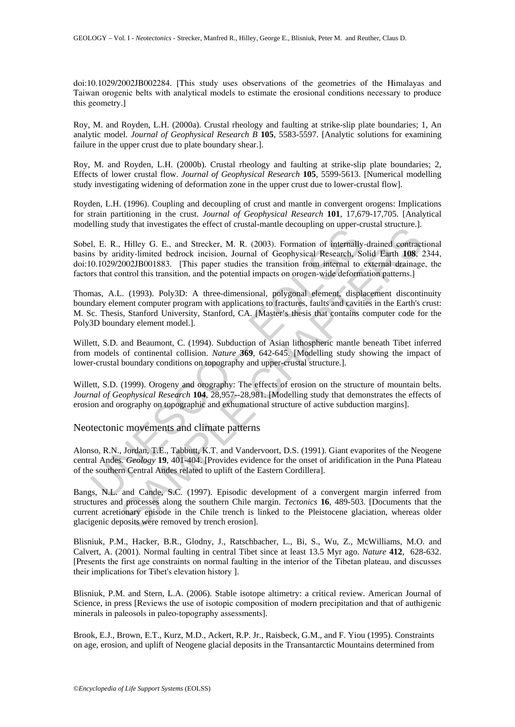doi:10.1029/2002JB002284. [This study uses observations of the geometries of the Himalayas and Taiwan orogenic belts with analytical models to estimate the erosional conditions necessary to produce this geometry.]

Roy, M. and Royden, L.H. (2000a). Crustal rheology and faulting at strike-slip plate boundaries; 1, An analytic model. *Journal of Geophysical Research B* **105**, 5583-5597. [Analytic solutions for examining failure in the upper crust due to plate boundary shear.].

Roy, M. and Royden, L.H. (2000b). Crustal rheology and faulting at strike-slip plate boundaries; 2, Effects of lower crustal flow. *Journal of Geophysical Research* **105**, 5599-5613. [Numerical modelling study investigating widening of deformation zone in the upper crust due to lower-crustal flow].

Royden, L.H. (1996). Coupling and decoupling of crust and mantle in convergent orogens: Implications for strain partitioning in the crust. *Journal of Geophysical Research* **101**, 17,679-17,705. [Analytical modelling study that investigates the effect of crustal-mantle decoupling on upper-crustal structure.].

The R. R. Hilly G. E., and Strecker, M. R. (2003). Formation dinerated by arises by midity-limited bedrock incsion, Journal of Geophysical Research, S. b) 0.1029/2002JB001883. [This paper studies the transition from intern by Juan Investigates the critection tradition and the decoupling on epper cream statedarise.]<br>
Hillely G. E., and Streecker, M. R. (2003). Formation of internally-drained contracts.]<br>
2002JB001883. [This paper studies the Sobel, E. R., Hilley G. E., and Strecker, M. R. (2003). Formation of internally-drained contractional basins by aridity-limited bedrock incision, Journal of Geophysical Research, Solid Earth **108**, 2344, doi:10.1029/2002JB001883. [This paper studies the transition from internal to external drainage, the factors that control this transition, and the potential impacts on orogen-wide deformation patterns.]

Thomas, A.L. (1993). Poly3D: A three-dimensional, polygonal element, displacement discontinuity boundary element computer program with applications to fractures, faults and cavities in the Earth's crust: M. Sc. Thesis, Stanford University, Stanford, CA. [Master's thesis that contains computer code for the Poly3D boundary element model.].

Willett, S.D. and Beaumont, C. (1994). Subduction of Asian lithospheric mantle beneath Tibet inferred from models of continental collision. *Nature* **369**, 642-645. [Modelling study showing the impact of lower-crustal boundary conditions on topography and upper-crustal structure.].

Willett, S.D. (1999). Orogeny and orography: The effects of erosion on the structure of mountain belts. *Journal of Geophysical Research* **104**, 28,957--28,981. [Modelling study that demonstrates the effects of erosion and orography on topographic and exhumational structure of active subduction margins].

Neotectonic movements and climate patterns

Alonso, R.N., Jordan, T.E., Tabbutt, K.T. and Vandervoort, D.S. (1991). Giant evaporites of the Neogene central Andes. *Geology* **19**, 401-404. [Provides evidence for the onset of aridification in the Puna Plateau of the southern Central Andes related to uplift of the Eastern Cordillera].

Bangs, N.L. and Cande, S.C. (1997). Episodic development of a convergent margin inferred from structures and processes along the southern Chile margin. *Tectonics* **16**, 489-503. [Documents that the current acretionary episode in the Chile trench is linked to the Pleistocene glaciation, whereas older glacigenic deposits were removed by trench erosion].

Blisniuk, P.M., Hacker, B.R., Glodny, J., Ratschbacher, L., Bi, S., Wu, Z., McWilliams, M.O. and Calvert, A. (2001). Normal faulting in central Tibet since at least 13.5 Myr ago. *Nature* **412**, 628-632. [Presents the first age constraints on normal faulting in the interior of the Tibetan plateau, and discusses their implications for Tibet's elevation history ].

Blisniuk, P.M. and Stern, L.A. (2006). Stable isotope altimetry: a critical review. American Journal of Science, in press [Reviews the use of isotopic composition of modern precipitation and that of authigenic minerals in paleosols in paleo-topography assessments].

Brook, E.J., Brown, E.T., Kurz, M.D., Ackert, R.P. Jr., Raisbeck, G.M., and F. Yiou (1995). Constraints on age, erosion, and uplift of Neogene glacial deposits in the Transantarctic Mountains determined from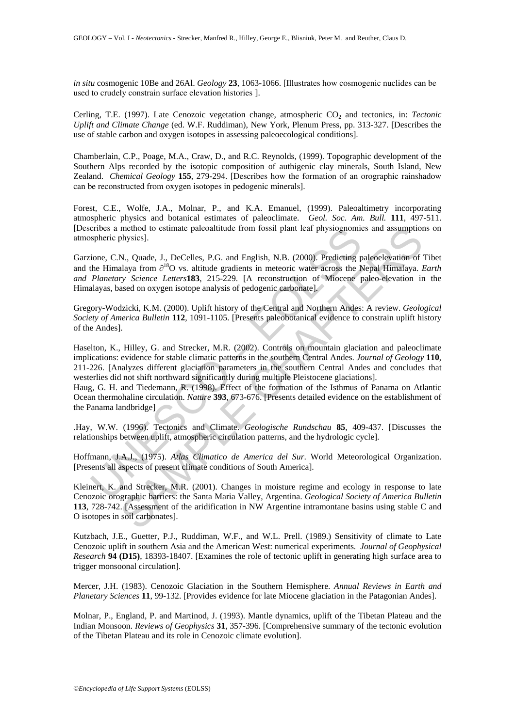*in situ* cosmogenic 10Be and 26Al. *Geology* **23**, 1063-1066. [Illustrates how cosmogenic nuclides can be used to crudely constrain surface elevation histories ].

Cerling, T.E. (1997). Late Cenozoic vegetation change, atmospheric CO<sub>2</sub> and tectonics, in: *Tectonic Uplift and Climate Change* (ed. W.F. Ruddiman), New York, Plenum Press, pp. 313-327. [Describes the use of stable carbon and oxygen isotopes in assessing paleoecological conditions].

Chamberlain, C.P., Poage, M.A., Craw, D., and R.C. Reynolds, (1999). Topographic development of the Southern Alps recorded by the isotopic composition of authigenic clay minerals, South Island, New Zealand. *Chemical Geology* **155**, 279-294. [Describes how the formation of an orographic rainshadow can be reconstructed from oxygen isotopes in pedogenic minerals].

Forest, C.E., Wolfe, J.A., Molnar, P., and K.A. Emanuel, (1999). Paleoaltimetry incorporating atmospheric physics and botanical estimates of paleoclimate. *Geol. Soc. Am. Bull.* **111**, 497-511. [Describes a method to estimate paleoaltitude from fossil plant leaf physiognomies and assumptions on atmospheric physics].

cribes a method to estimate paleoalititude from fossil plant lear physiognomic<br>spheric physics].<br>ione, C.N., Quade, J., DeCelles, P.G. and English, N.B. (2000). Predicting p<br>for Elimalaya from  $\partial^{18}O$  vs. altitude gradie method to estimate palecalitiude from fossil plant leaf physiognomies and assumption<br>enhysics].<br>SN, Quade, J., DeCelles, P.G. and English, N.B. (2000). Predicting paleoelevation of<br>N.N. Quade, J., DeCelles, P.G. and Engli Garzione, C.N., Quade, J., DeCelles, P.G. and English, N.B. (2000). Predicting paleoelevation of Tibet and the Himalaya from ∂18O vs. altitude gradients in meteoric water across the Nepal Himalaya. *Earth and Planetary Science Letters***183**, 215-229. [A reconstruction of Miocene paleo-elevation in the Himalayas, based on oxygen isotope analysis of pedogenic carbonate].

Gregory-Wodzicki, K.M. (2000). Uplift history of the Central and Northern Andes: A review. *Geological Society of America Bulletin* **112**, 1091-1105. [Presents paleobotanical evidence to constrain uplift history of the Andes].

Haselton, K., Hilley, G. and Strecker, M.R. (2002). Controls on mountain glaciation and paleoclimate implications: evidence for stable climatic patterns in the southern Central Andes. *Journal of Geology* **110**, 211-226. [Analyzes different glaciation parameters in the southern Central Andes and concludes that westerlies did not shift northward significantly during multiple Pleistocene glaciations].

Haug, G. H. and Tiedemann, R. (1998). Effect of the formation of the Isthmus of Panama on Atlantic Ocean thermohaline circulation. *Nature* **393**, 673-676. [Presents detailed evidence on the establishment of the Panama landbridge]

.Hay, W.W. (1996). Tectonics and Climate. *Geologische Rundschau* **85**, 409-437. [Discusses the relationships between uplift, atmospheric circulation patterns, and the hydrologic cycle].

Hoffmann, J.A.J., (1975). *Atlas Climatico de America del Sur*. World Meteorological Organization. [Presents all aspects of present climate conditions of South America].

Kleinert, K. and Strecker, M.R. (2001). Changes in moisture regime and ecology in response to late Cenozoic orographic barriers: the Santa Maria Valley, Argentina. *Geological Society of America Bulletin*  **113**, 728-742. [Assessment of the aridification in NW Argentine intramontane basins using stable C and O isotopes in soil carbonates].

Kutzbach, J.E., Guetter, P.J., Ruddiman, W.F., and W.L. Prell. (1989.) Sensitivity of climate to Late Cenozoic uplift in southern Asia and the American West: numerical experiments. *Journal of Geophysical Research* **94 (D15)**, 18393-18407. [Examines the role of tectonic uplift in generating high surface area to trigger monsoonal circulation].

Mercer, J.H. (1983). Cenozoic Glaciation in the Southern Hemisphere. *Annual Reviews in Earth and Planetary Sciences* **11**, 99-132. [Provides evidence for late Miocene glaciation in the Patagonian Andes].

Molnar, P., England, P. and Martinod, J. (1993). Mantle dynamics, uplift of the Tibetan Plateau and the Indian Monsoon. *Reviews of Geophysics* **31**, 357-396. [Comprehensive summary of the tectonic evolution of the Tibetan Plateau and its role in Cenozoic climate evolution].